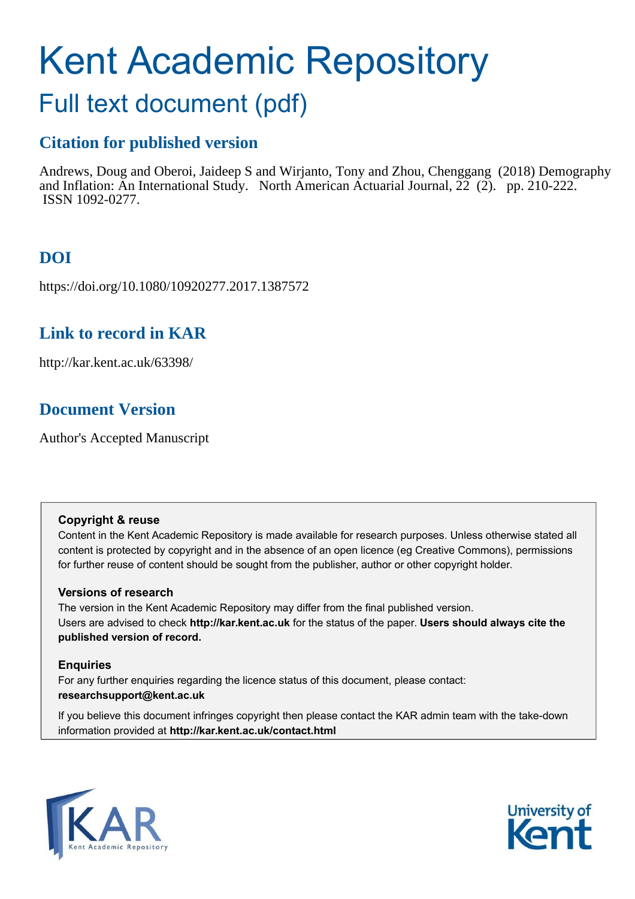# Kent Academic Repository

## Full text document (pdf)

## **Citation for published version**

Andrews, Doug and Oberoi, Jaideep S and Wirjanto, Tony and Zhou, Chenggang (2018) Demography and Inflation: An International Study. North American Actuarial Journal, 22 (2). pp. 210-222. ISSN 1092-0277.

## **DOI**

https://doi.org/10.1080/10920277.2017.1387572

## **Link to record in KAR**

http://kar.kent.ac.uk/63398/

## **Document Version**

Author's Accepted Manuscript

#### **Copyright & reuse**

Content in the Kent Academic Repository is made available for research purposes. Unless otherwise stated all content is protected by copyright and in the absence of an open licence (eg Creative Commons), permissions for further reuse of content should be sought from the publisher, author or other copyright holder.

#### **Versions of research**

The version in the Kent Academic Repository may differ from the final published version. Users are advised to check **http://kar.kent.ac.uk** for the status of the paper. **Users should always cite the published version of record.**

#### **Enquiries**

For any further enquiries regarding the licence status of this document, please contact: **researchsupport@kent.ac.uk**

If you believe this document infringes copyright then please contact the KAR admin team with the take-down information provided at **http://kar.kent.ac.uk/contact.html**



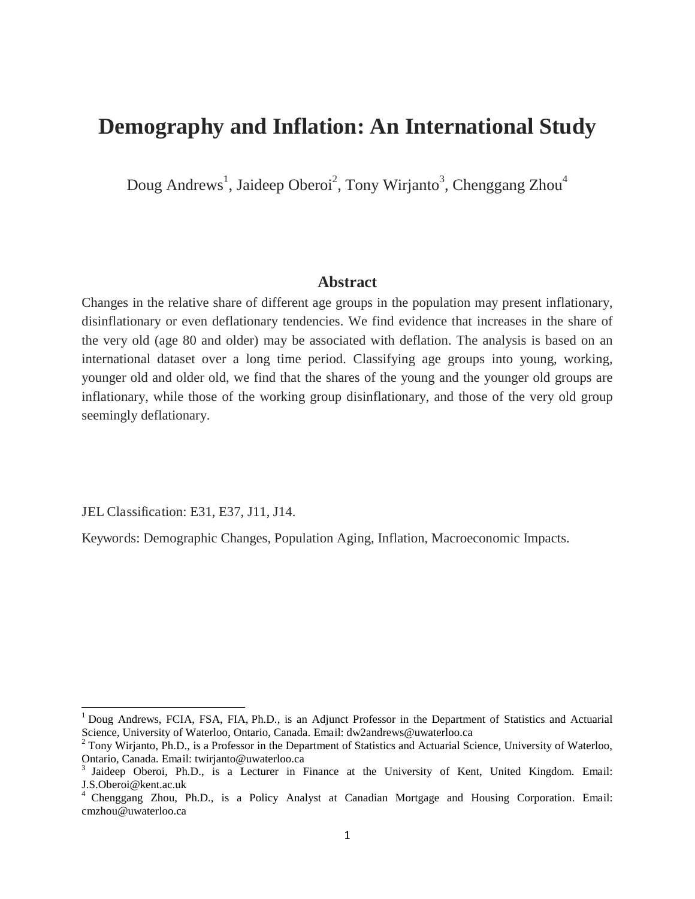## **Demography and Inflation: An International Study**

Doug Andrews<sup>1</sup>, Jaideep Oberoi<sup>2</sup>, Tony Wirjanto<sup>3</sup>, Chenggang Zhou<sup>4</sup>

#### **Abstract**

Changes in the relative share of different age groups in the population may present inflationary, disinflationary or even deflationary tendencies. We find evidence that increases in the share of the very old (age 80 and older) may be associated with deflation. The analysis is based on an international dataset over a long time period. Classifying age groups into young, working, younger old and older old, we find that the shares of the young and the younger old groups are inflationary, while those of the working group disinflationary, and those of the very old group seemingly deflationary.

JEL Classification: E31, E37, J11, J14.

 $\overline{a}$ 

Keywords: Demographic Changes, Population Aging, Inflation, Macroeconomic Impacts.

<sup>&</sup>lt;sup>1</sup> Doug Andrews, FCIA, FSA, FIA, Ph.D., is an Adjunct Professor in the Department of Statistics and Actuarial Science, University of Waterloo, Ontario, Canada. Email: dw2andrews@uwaterloo.ca

 $2$  Tony Wirjanto, Ph.D., is a Professor in the Department of Statistics and Actuarial Science, University of Waterloo, Ontario, Canada. Email: twirjanto@uwaterloo.ca

<sup>&</sup>lt;sup>3</sup> Jaideep Oberoi, Ph.D., is a Lecturer in Finance at the University of Kent, United Kingdom. Email: J.S.Oberoi@kent.ac.uk

<sup>&</sup>lt;sup>4</sup> Chenggang Zhou, Ph.D., is a Policy Analyst at Canadian Mortgage and Housing Corporation. Email: cmzhou@uwaterloo.ca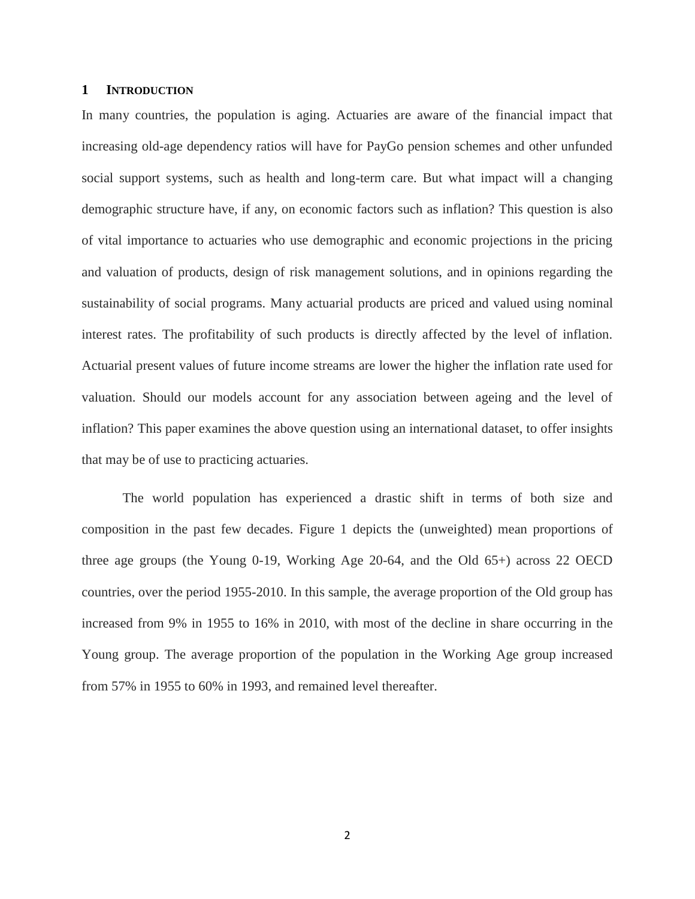#### **1 INTRODUCTION**

In many countries, the population is aging. Actuaries are aware of the financial impact that increasing old-age dependency ratios will have for PayGo pension schemes and other unfunded social support systems, such as health and long-term care. But what impact will a changing demographic structure have, if any, on economic factors such as inflation? This question is also of vital importance to actuaries who use demographic and economic projections in the pricing and valuation of products, design of risk management solutions, and in opinions regarding the sustainability of social programs. Many actuarial products are priced and valued using nominal interest rates. The profitability of such products is directly affected by the level of inflation. Actuarial present values of future income streams are lower the higher the inflation rate used for valuation. Should our models account for any association between ageing and the level of inflation? This paper examines the above question using an international dataset, to offer insights that may be of use to practicing actuaries.

The world population has experienced a drastic shift in terms of both size and composition in the past few decades. Figure 1 depicts the (unweighted) mean proportions of three age groups (the Young 0-19, Working Age 20-64, and the Old 65+) across 22 OECD countries, over the period 1955-2010. In this sample, the average proportion of the Old group has increased from 9% in 1955 to 16% in 2010, with most of the decline in share occurring in the Young group. The average proportion of the population in the Working Age group increased from 57% in 1955 to 60% in 1993, and remained level thereafter.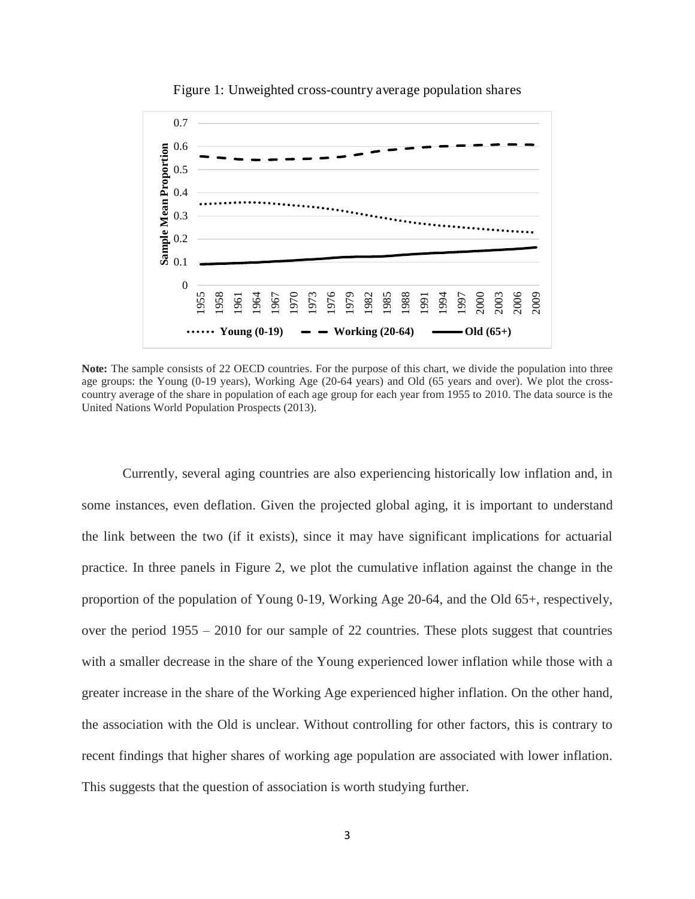

Figure 1: Unweighted cross-country average population shares

**Note:** The sample consists of 22 OECD countries. For the purpose of this chart, we divide the population into three age groups: the Young (0-19 years), Working Age (20-64 years) and Old (65 years and over). We plot the crosscountry average of the share in population of each age group for each year from 1955 to 2010. The data source is the United Nations World Population Prospects (2013).

Currently, several aging countries are also experiencing historically low inflation and, in some instances, even deflation. Given the projected global aging, it is important to understand the link between the two (if it exists), since it may have significant implications for actuarial practice. In three panels in Figure 2, we plot the cumulative inflation against the change in the proportion of the population of Young 0-19, Working Age 20-64, and the Old 65+, respectively, over the period 1955 – 2010 for our sample of 22 countries. These plots suggest that countries with a smaller decrease in the share of the Young experienced lower inflation while those with a greater increase in the share of the Working Age experienced higher inflation. On the other hand, the association with the Old is unclear. Without controlling for other factors, this is contrary to recent findings that higher shares of working age population are associated with lower inflation. This suggests that the question of association is worth studying further.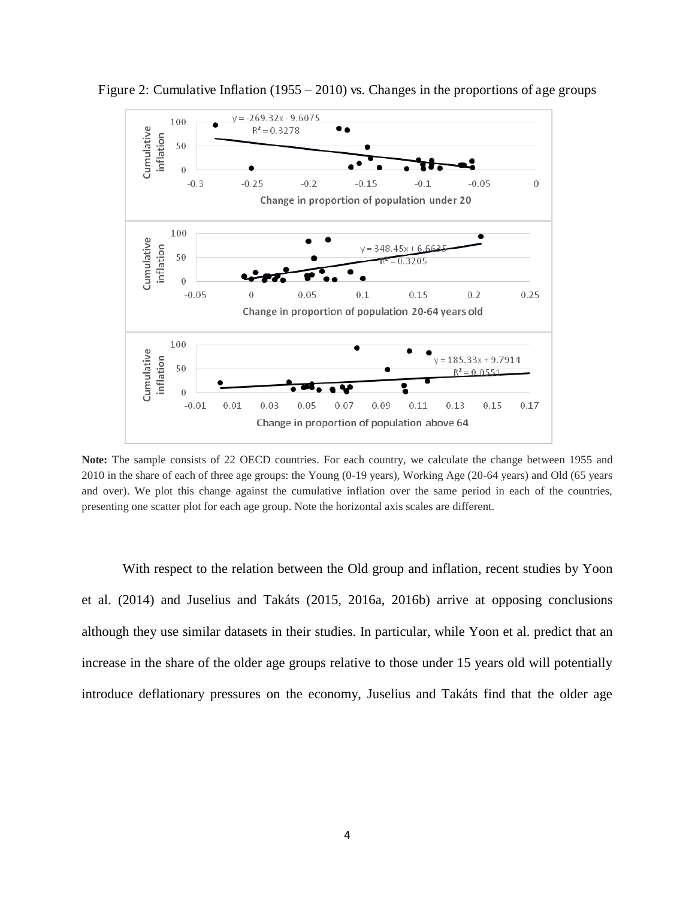

Figure 2: Cumulative Inflation (1955 *–* 2010) vs. Changes in the proportions of age groups

**Note:** The sample consists of 22 OECD countries. For each country, we calculate the change between 1955 and 2010 in the share of each of three age groups: the Young (0-19 years), Working Age (20-64 years) and Old (65 years and over). We plot this change against the cumulative inflation over the same period in each of the countries, presenting one scatter plot for each age group. Note the horizontal axis scales are different.

With respect to the relation between the Old group and inflation, recent studies by Yoon et al. (2014) and Juselius and Takáts (2015, 2016a, 2016b) arrive at opposing conclusions although they use similar datasets in their studies. In particular, while Yoon et al. predict that an increase in the share of the older age groups relative to those under 15 years old will potentially introduce deflationary pressures on the economy, Juselius and Takáts find that the older age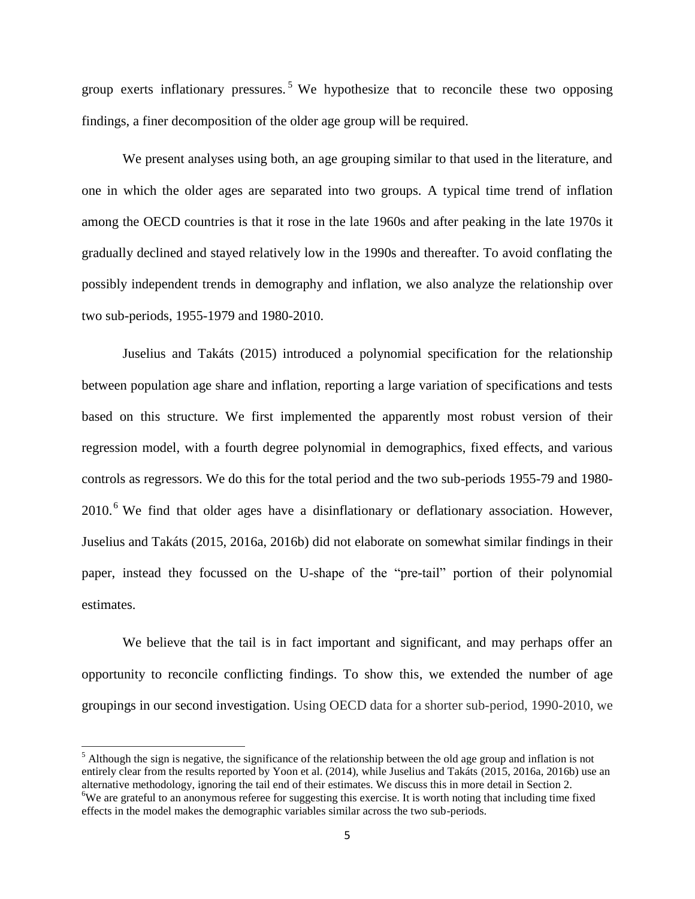group exerts inflationary pressures.<sup>5</sup> We hypothesize that to reconcile these two opposing findings, a finer decomposition of the older age group will be required.

We present analyses using both, an age grouping similar to that used in the literature, and one in which the older ages are separated into two groups. A typical time trend of inflation among the OECD countries is that it rose in the late 1960s and after peaking in the late 1970s it gradually declined and stayed relatively low in the 1990s and thereafter. To avoid conflating the possibly independent trends in demography and inflation, we also analyze the relationship over two sub-periods, 1955-1979 and 1980-2010.

Juselius and Takáts (2015) introduced a polynomial specification for the relationship between population age share and inflation, reporting a large variation of specifications and tests based on this structure. We first implemented the apparently most robust version of their regression model, with a fourth degree polynomial in demographics, fixed effects, and various controls as regressors. We do this for the total period and the two sub-periods 1955-79 and 1980-  $2010<sup>6</sup>$  We find that older ages have a disinflationary or deflationary association. However, Juselius and Takáts (2015, 2016a, 2016b) did not elaborate on somewhat similar findings in their paper, instead they focussed on the U-shape of the "pre-tail" portion of their polynomial estimates.

We believe that the tail is in fact important and significant, and may perhaps offer an opportunity to reconcile conflicting findings. To show this, we extended the number of age groupings in our second investigation. Using OECD data for a shorter sub-period, 1990-2010, we

 $\overline{a}$ 

 $<sup>5</sup>$  Although the sign is negative, the significance of the relationship between the old age group and inflation is not</sup> entirely clear from the results reported by Yoon et al. (2014), while Juselius and Takáts (2015, 2016a, 2016b) use an alternative methodology, ignoring the tail end of their estimates. We discuss this in more detail in Section 2. <sup>6</sup>We are grateful to an anonymous referee for suggesting this exercise. It is worth noting that including time fixed effects in the model makes the demographic variables similar across the two sub-periods.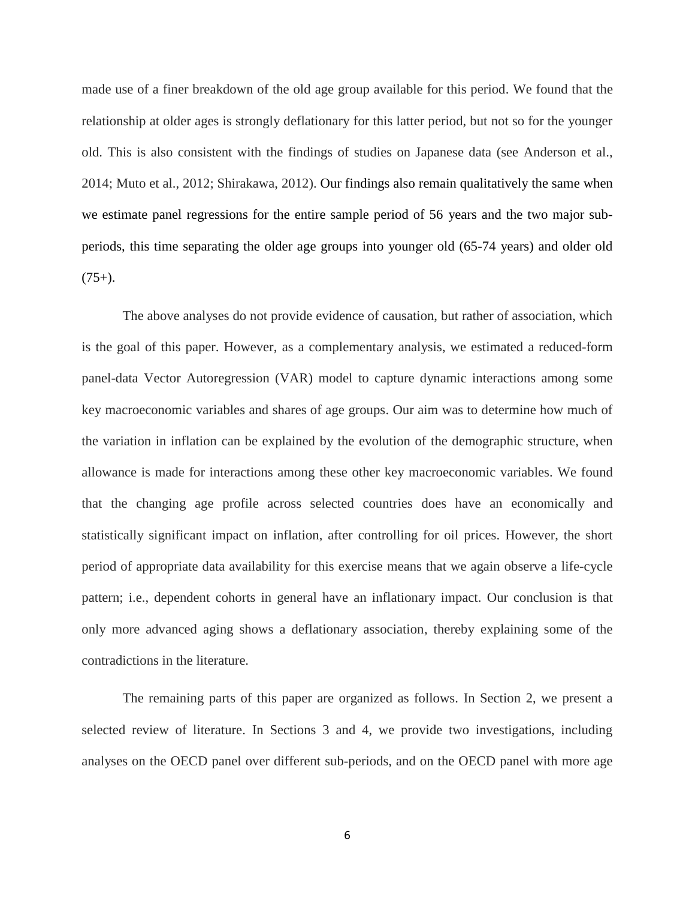made use of a finer breakdown of the old age group available for this period. We found that the relationship at older ages is strongly deflationary for this latter period, but not so for the younger old. This is also consistent with the findings of studies on Japanese data (see Anderson et al., 2014; Muto et al., 2012; Shirakawa, 2012). Our findings also remain qualitatively the same when we estimate panel regressions for the entire sample period of 56 years and the two major subperiods, this time separating the older age groups into younger old (65-74 years) and older old  $(75+)$ .

The above analyses do not provide evidence of causation, but rather of association, which is the goal of this paper. However, as a complementary analysis, we estimated a reduced-form panel-data Vector Autoregression (VAR) model to capture dynamic interactions among some key macroeconomic variables and shares of age groups. Our aim was to determine how much of the variation in inflation can be explained by the evolution of the demographic structure, when allowance is made for interactions among these other key macroeconomic variables. We found that the changing age profile across selected countries does have an economically and statistically significant impact on inflation, after controlling for oil prices. However, the short period of appropriate data availability for this exercise means that we again observe a life-cycle pattern; i.e., dependent cohorts in general have an inflationary impact. Our conclusion is that only more advanced aging shows a deflationary association, thereby explaining some of the contradictions in the literature.

The remaining parts of this paper are organized as follows. In Section 2, we present a selected review of literature. In Sections 3 and 4, we provide two investigations, including analyses on the OECD panel over different sub-periods, and on the OECD panel with more age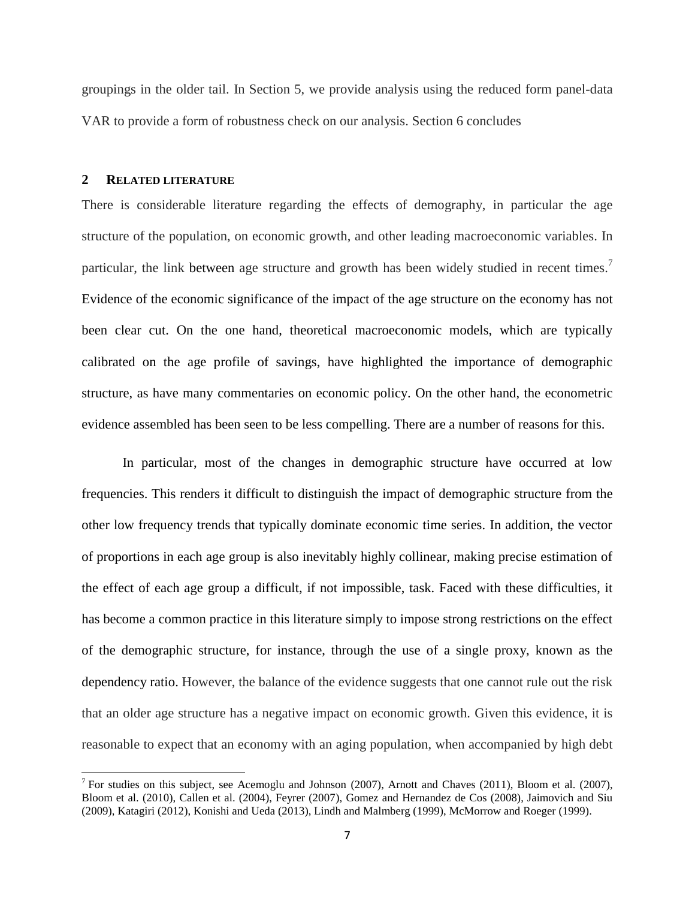groupings in the older tail. In Section 5, we provide analysis using the reduced form panel-data VAR to provide a form of robustness check on our analysis. Section 6 concludes

#### **2 RELATED LITERATURE**

 $\overline{a}$ 

There is considerable literature regarding the effects of demography, in particular the age structure of the population, on economic growth, and other leading macroeconomic variables. In particular, the link between age structure and growth has been widely studied in recent times.<sup>7</sup> Evidence of the economic significance of the impact of the age structure on the economy has not been clear cut. On the one hand, theoretical macroeconomic models, which are typically calibrated on the age profile of savings, have highlighted the importance of demographic structure, as have many commentaries on economic policy. On the other hand, the econometric evidence assembled has been seen to be less compelling. There are a number of reasons for this.

In particular, most of the changes in demographic structure have occurred at low frequencies. This renders it difficult to distinguish the impact of demographic structure from the other low frequency trends that typically dominate economic time series. In addition, the vector of proportions in each age group is also inevitably highly collinear, making precise estimation of the effect of each age group a difficult, if not impossible, task. Faced with these difficulties, it has become a common practice in this literature simply to impose strong restrictions on the effect of the demographic structure, for instance, through the use of a single proxy, known as the dependency ratio. However, the balance of the evidence suggests that one cannot rule out the risk that an older age structure has a negative impact on economic growth. Given this evidence, it is reasonable to expect that an economy with an aging population, when accompanied by high debt

<sup>&</sup>lt;sup>7</sup> For studies on this subject, see Acemoglu and Johnson (2007), Arnott and Chaves (2011), Bloom et al. (2007), Bloom et al. (2010), Callen et al. (2004), Feyrer (2007), Gomez and Hernandez de Cos (2008), Jaimovich and Siu (2009), Katagiri (2012), Konishi and Ueda (2013), Lindh and Malmberg (1999), McMorrow and Roeger (1999).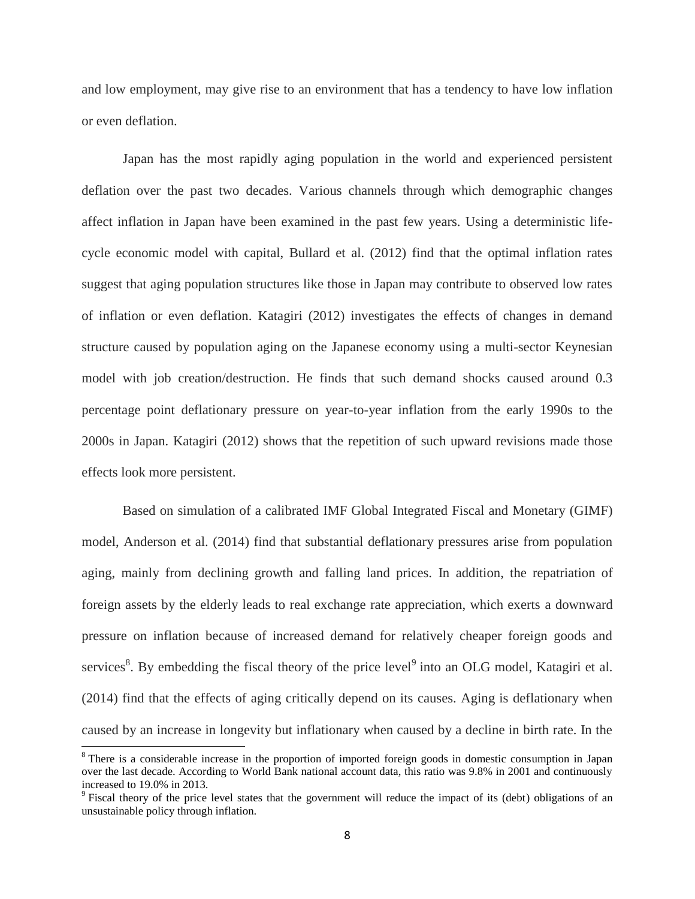and low employment, may give rise to an environment that has a tendency to have low inflation or even deflation.

Japan has the most rapidly aging population in the world and experienced persistent deflation over the past two decades. Various channels through which demographic changes affect inflation in Japan have been examined in the past few years. Using a deterministic lifecycle economic model with capital, Bullard et al. (2012) find that the optimal inflation rates suggest that aging population structures like those in Japan may contribute to observed low rates of inflation or even deflation. Katagiri (2012) investigates the effects of changes in demand structure caused by population aging on the Japanese economy using a multi-sector Keynesian model with job creation/destruction. He finds that such demand shocks caused around 0.3 percentage point deflationary pressure on year-to-year inflation from the early 1990s to the 2000s in Japan. Katagiri (2012) shows that the repetition of such upward revisions made those effects look more persistent.

Based on simulation of a calibrated IMF Global Integrated Fiscal and Monetary (GIMF) model, Anderson et al. (2014) find that substantial deflationary pressures arise from population aging, mainly from declining growth and falling land prices. In addition, the repatriation of foreign assets by the elderly leads to real exchange rate appreciation, which exerts a downward pressure on inflation because of increased demand for relatively cheaper foreign goods and services<sup>8</sup>. By embedding the fiscal theory of the price level<sup>9</sup> into an OLG model, Katagiri et al. (2014) find that the effects of aging critically depend on its causes. Aging is deflationary when caused by an increase in longevity but inflationary when caused by a decline in birth rate. In the

 $\overline{a}$ 

<sup>&</sup>lt;sup>8</sup> There is a considerable increase in the proportion of imported foreign goods in domestic consumption in Japan over the last decade. According to World Bank national account data, this ratio was 9.8% in 2001 and continuously increased to 19.0% in 2013.

<sup>&</sup>lt;sup>9</sup> Fiscal theory of the price level states that the government will reduce the impact of its (debt) obligations of an unsustainable policy through inflation.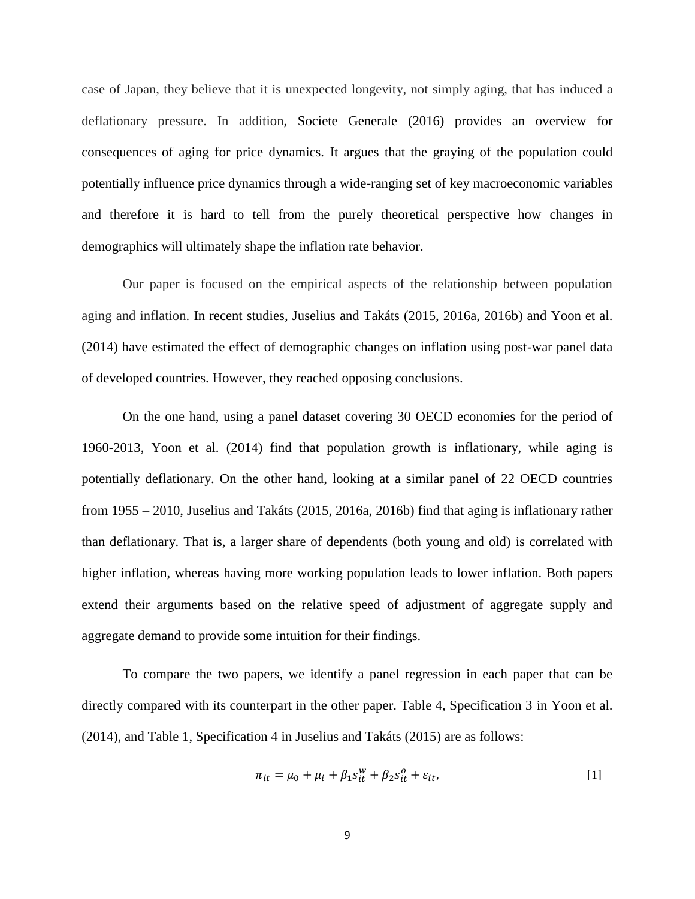case of Japan, they believe that it is unexpected longevity, not simply aging, that has induced a deflationary pressure. In addition, Societe Generale (2016) provides an overview for consequences of aging for price dynamics. It argues that the graying of the population could potentially influence price dynamics through a wide-ranging set of key macroeconomic variables and therefore it is hard to tell from the purely theoretical perspective how changes in demographics will ultimately shape the inflation rate behavior.

Our paper is focused on the empirical aspects of the relationship between population aging and inflation. In recent studies, Juselius and Takáts (2015, 2016a, 2016b) and Yoon et al. (2014) have estimated the effect of demographic changes on inflation using post-war panel data of developed countries. However, they reached opposing conclusions.

On the one hand, using a panel dataset covering 30 OECD economies for the period of 1960-2013, Yoon et al. (2014) find that population growth is inflationary, while aging is potentially deflationary. On the other hand, looking at a similar panel of 22 OECD countries from 1955 – 2010, Juselius and Takáts (2015, 2016a, 2016b) find that aging is inflationary rather than deflationary. That is, a larger share of dependents (both young and old) is correlated with higher inflation, whereas having more working population leads to lower inflation. Both papers extend their arguments based on the relative speed of adjustment of aggregate supply and aggregate demand to provide some intuition for their findings.

To compare the two papers, we identify a panel regression in each paper that can be directly compared with its counterpart in the other paper. Table 4, Specification 3 in Yoon et al. (2014), and Table 1, Specification 4 in Juselius and Takáts (2015) are as follows:

$$
\pi_{it} = \mu_0 + \mu_i + \beta_1 s_{it}^w + \beta_2 s_{it}^o + \varepsilon_{it},
$$
\n[1]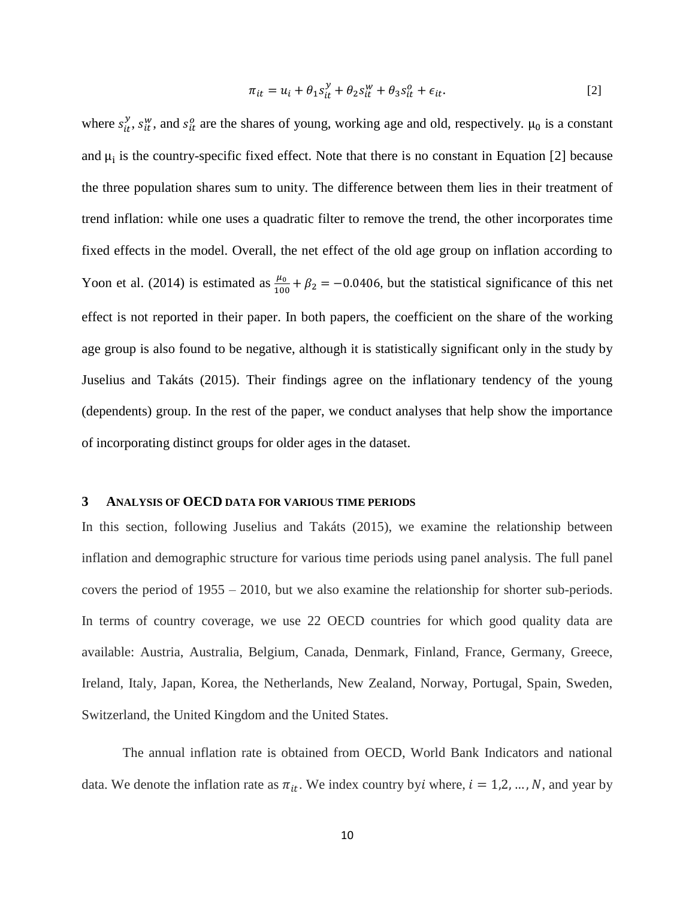$$
\pi_{it} = u_i + \theta_1 s_{it}^y + \theta_2 s_{it}^w + \theta_3 s_{it}^o + \epsilon_{it}.
$$
\n<sup>(2)</sup>

where  $s_{it}^y$ ,  $s_{it}^w$ , and  $s_{it}^o$  are the shares of young, working age and old, respectively.  $\mu_0$  is a constant and  $\mu_i$  is the country-specific fixed effect. Note that there is no constant in Equation [2] because the three population shares sum to unity. The difference between them lies in their treatment of trend inflation: while one uses a quadratic filter to remove the trend, the other incorporates time fixed effects in the model. Overall, the net effect of the old age group on inflation according to Yoon et al. (2014) is estimated as  $\frac{\mu_0}{100} + \beta_2 = -0.0406$ , but the statistical significance of this net effect is not reported in their paper. In both papers, the coefficient on the share of the working age group is also found to be negative, although it is statistically significant only in the study by Juselius and Takáts (2015). Their findings agree on the inflationary tendency of the young (dependents) group. In the rest of the paper, we conduct analyses that help show the importance of incorporating distinct groups for older ages in the dataset.

#### **3 ANALYSIS OF OECD DATA FOR VARIOUS TIME PERIODS**

In this section, following Juselius and Takáts (2015), we examine the relationship between inflation and demographic structure for various time periods using panel analysis. The full panel covers the period of 1955 – 2010, but we also examine the relationship for shorter sub-periods. In terms of country coverage, we use 22 OECD countries for which good quality data are available: Austria, Australia, Belgium, Canada, Denmark, Finland, France, Germany, Greece, Ireland, Italy, Japan, Korea, the Netherlands, New Zealand, Norway, Portugal, Spain, Sweden, Switzerland, the United Kingdom and the United States.

The annual inflation rate is obtained from OECD, World Bank Indicators and national data. We denote the inflation rate as  $\pi_{it}$ . We index country by where,  $i = 1, 2, ..., N$ , and year by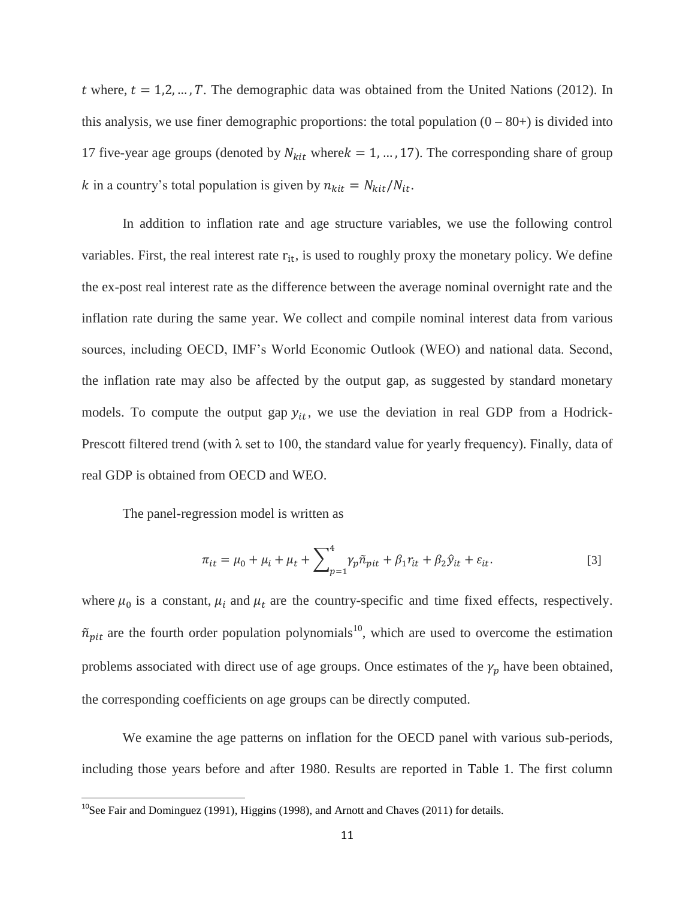t where,  $t = 1, 2, ..., T$ . The demographic data was obtained from the United Nations (2012). In this analysis, we use finer demographic proportions: the total population  $(0 - 80+)$  is divided into 17 five-year age groups (denoted by  $N_{kit}$  where $k = 1, ..., 17$ ). The corresponding share of group k in a country's total population is given by  $n_{kit} = N_{kit}/N_{it}$ .

In addition to inflation rate and age structure variables, we use the following control variables. First, the real interest rate  $r_{it}$ , is used to roughly proxy the monetary policy. We define the ex-post real interest rate as the difference between the average nominal overnight rate and the inflation rate during the same year. We collect and compile nominal interest data from various sources, including OECD, IMF's World Economic Outlook (WEO) and national data. Second, the inflation rate may also be affected by the output gap, as suggested by standard monetary models. To compute the output gap  $y_{it}$ , we use the deviation in real GDP from a Hodrick-Prescott filtered trend (with  $\lambda$  set to 100, the standard value for yearly frequency). Finally, data of real GDP is obtained from OECD and WEO.

The panel-regression model is written as

 $\overline{a}$ 

$$
\pi_{it} = \mu_0 + \mu_i + \mu_t + \sum_{p=1}^{4} \gamma_p \tilde{n}_{pit} + \beta_1 r_{it} + \beta_2 \hat{y}_{it} + \varepsilon_{it}.
$$
\n<sup>(3)</sup>

where  $\mu_0$  is a constant,  $\mu_i$  and  $\mu_t$  are the country-specific and time fixed effects, respectively.  $\tilde{n}_{pit}$  are the fourth order population polynomials<sup>10</sup>, which are used to overcome the estimation problems associated with direct use of age groups. Once estimates of the  $\gamma_p$  have been obtained, the corresponding coefficients on age groups can be directly computed.

We examine the age patterns on inflation for the OECD panel with various sub-periods, including those years before and after 1980. Results are reported in Table 1. The first column

<sup>&</sup>lt;sup>10</sup>See Fair and Dominguez (1991), Higgins (1998), and Arnott and Chaves (2011) for details.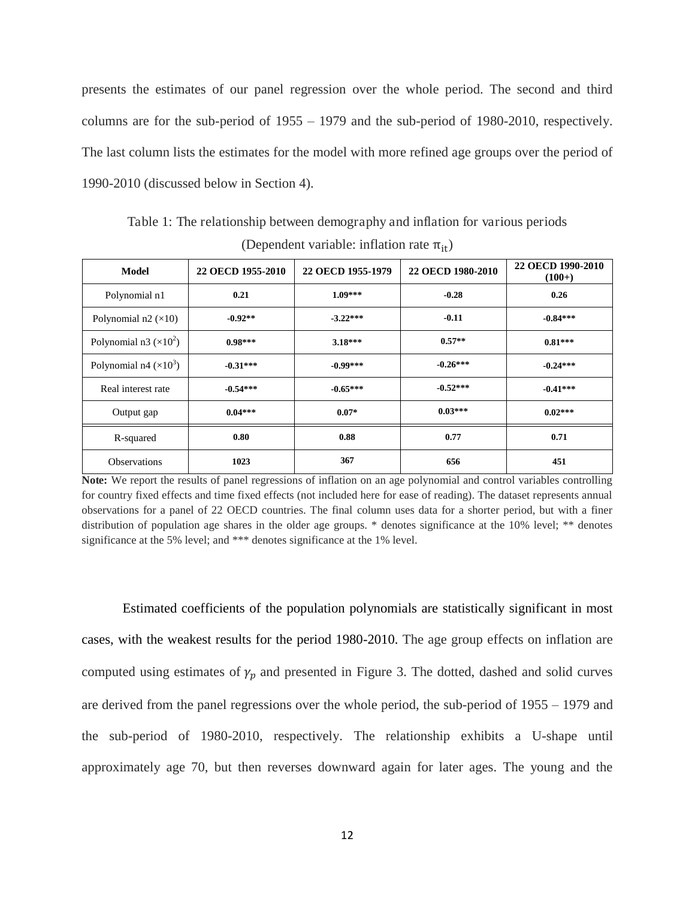presents the estimates of our panel regression over the whole period. The second and third columns are for the sub-period of 1955 – 1979 and the sub-period of 1980-2010, respectively. The last column lists the estimates for the model with more refined age groups over the period of 1990-2010 (discussed below in Section 4).

| Model                         | 22 OECD 1955-2010 | 22 OECD 1955-1979 | 22 OECD 1980-2010 | 22 OECD 1990-2010<br>$(100+)$ |
|-------------------------------|-------------------|-------------------|-------------------|-------------------------------|
| Polynomial n1                 | 0.21              | $1.09***$         | $-0.28$           | 0.26                          |
| Polynomial $n2 \times 10$     | $-0.92**$         | $-3.22***$        | $-0.11$           | $-0.84***$                    |
| Polynomial n3 $(\times 10^2)$ | $0.98***$         | $3.18***$         | $0.57**$          | $0.81***$                     |
| Polynomial n4 $(\times 10^3)$ | $-0.31***$        | $-0.99***$        | $-0.26***$        | $-0.24***$                    |
| Real interest rate            | $-0.54***$        | $-0.65***$        | $-0.52***$        | $-0.41***$                    |
| Output gap                    | $0.04***$         | $0.07*$           | $0.03***$         | $0.02***$                     |
| R-squared                     | 0.80              | 0.88              | 0.77              | 0.71                          |
| <b>Observations</b>           | 1023              | 367               | 656               | 451                           |

Table 1: The relationship between demography and inflation for various periods (Dependent variable: inflation rate  $\pi_{it}$ )

**Note:** We report the results of panel regressions of inflation on an age polynomial and control variables controlling for country fixed effects and time fixed effects (not included here for ease of reading). The dataset represents annual observations for a panel of 22 OECD countries. The final column uses data for a shorter period, but with a finer distribution of population age shares in the older age groups. \* denotes significance at the 10% level; \*\* denotes significance at the 5% level; and \*\*\* denotes significance at the 1% level.

Estimated coefficients of the population polynomials are statistically significant in most cases, with the weakest results for the period 1980-2010. The age group effects on inflation are computed using estimates of  $\gamma_p$  and presented in Figure 3. The dotted, dashed and solid curves are derived from the panel regressions over the whole period, the sub-period of 1955 – 1979 and the sub-period of 1980-2010, respectively. The relationship exhibits a U-shape until approximately age 70, but then reverses downward again for later ages. The young and the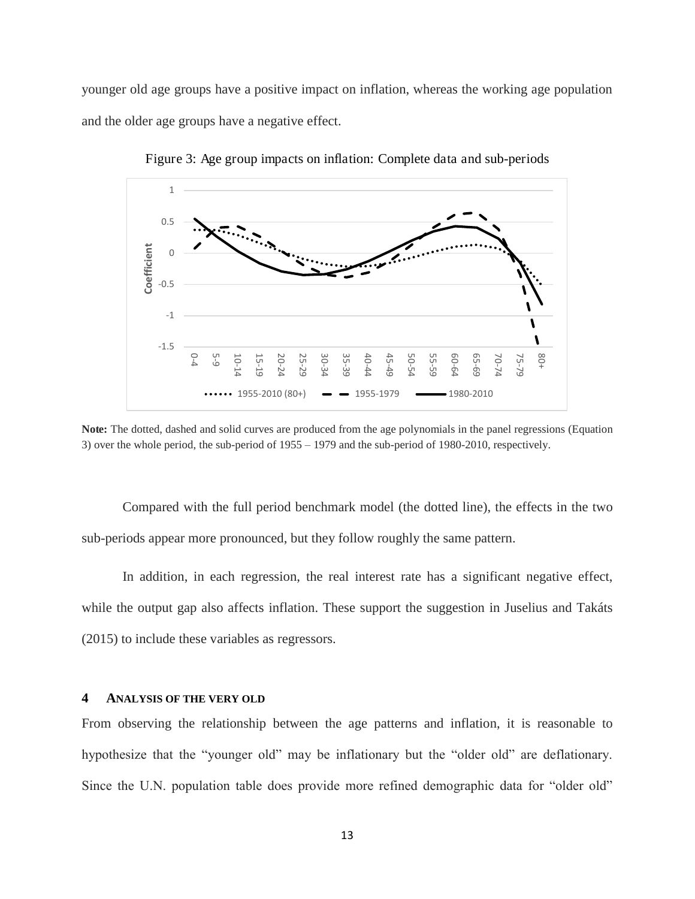younger old age groups have a positive impact on inflation, whereas the working age population and the older age groups have a negative effect.



Figure 3: Age group impacts on inflation: Complete data and sub-periods

**Note:** The dotted, dashed and solid curves are produced from the age polynomials in the panel regressions (Equation 3) over the whole period, the sub-period of 1955 – 1979 and the sub-period of 1980-2010, respectively.

Compared with the full period benchmark model (the dotted line), the effects in the two sub-periods appear more pronounced, but they follow roughly the same pattern.

In addition, in each regression, the real interest rate has a significant negative effect, while the output gap also affects inflation. These support the suggestion in Juselius and Takáts (2015) to include these variables as regressors.

#### **4 ANALYSIS OF THE VERY OLD**

From observing the relationship between the age patterns and inflation, it is reasonable to hypothesize that the "younger old" may be inflationary but the "older old" are deflationary. Since the U.N. population table does provide more refined demographic data for "older old"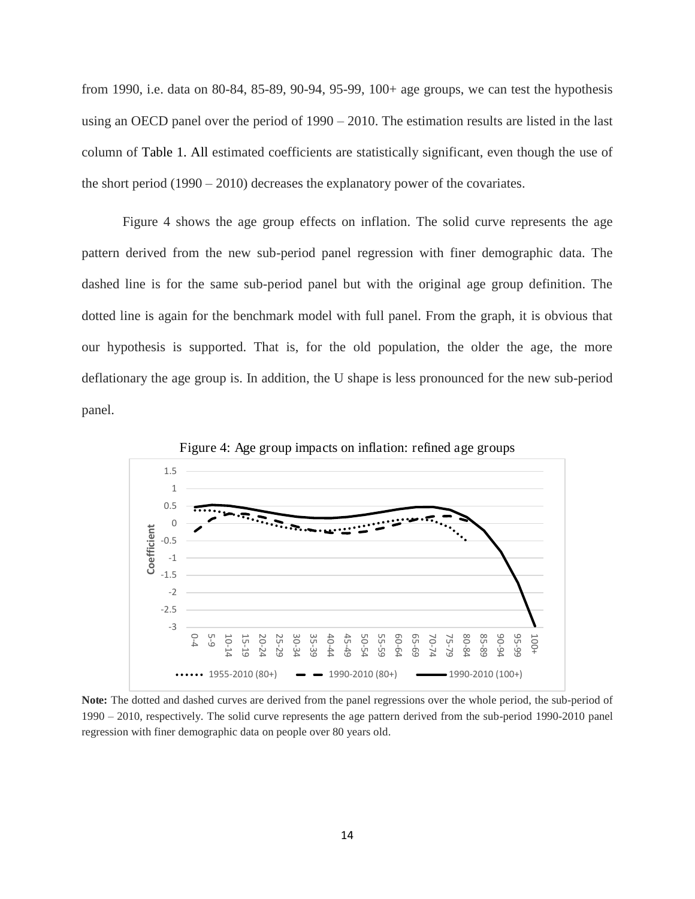from 1990, i.e. data on 80-84, 85-89, 90-94, 95-99, 100+ age groups, we can test the hypothesis using an OECD panel over the period of 1990 – 2010. The estimation results are listed in the last column of Table 1. All estimated coefficients are statistically significant, even though the use of the short period (1990 – 2010) decreases the explanatory power of the covariates.

Figure 4 shows the age group effects on inflation. The solid curve represents the age pattern derived from the new sub-period panel regression with finer demographic data. The dashed line is for the same sub-period panel but with the original age group definition. The dotted line is again for the benchmark model with full panel. From the graph, it is obvious that our hypothesis is supported. That is, for the old population, the older the age, the more deflationary the age group is. In addition, the U shape is less pronounced for the new sub-period panel.



Figure 4: Age group impacts on inflation: refined age groups

**Note:** The dotted and dashed curves are derived from the panel regressions over the whole period, the sub-period of 1990 – 2010, respectively. The solid curve represents the age pattern derived from the sub-period 1990-2010 panel regression with finer demographic data on people over 80 years old.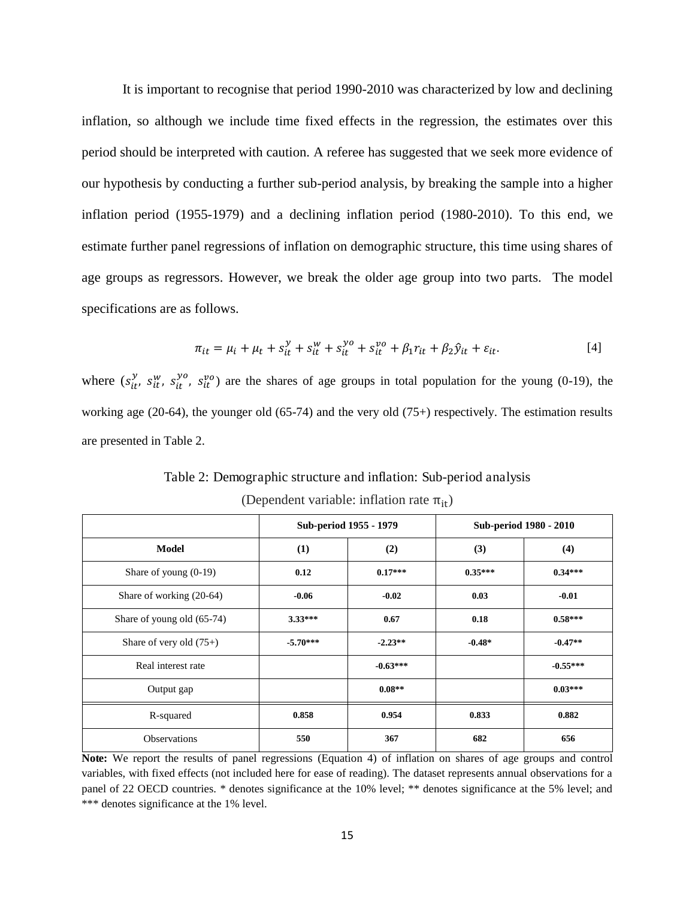It is important to recognise that period 1990-2010 was characterized by low and declining inflation, so although we include time fixed effects in the regression, the estimates over this period should be interpreted with caution. A referee has suggested that we seek more evidence of our hypothesis by conducting a further sub-period analysis, by breaking the sample into a higher inflation period (1955-1979) and a declining inflation period (1980-2010). To this end, we estimate further panel regressions of inflation on demographic structure, this time using shares of age groups as regressors. However, we break the older age group into two parts. The model specifications are as follows.

$$
\pi_{it} = \mu_i + \mu_t + s_{it}^{\mathcal{Y}} + s_{it}^{\mathcal{W}} + s_{it}^{\mathcal{Y}o} + s_{it}^{\mathcal{V}o} + \beta_1 r_{it} + \beta_2 \hat{y}_{it} + \varepsilon_{it}.
$$
\n<sup>(4)</sup>

where  $(s_{it}^{y}, s_{it}^{w}, s_{it}^{y0})$  are the shares of age groups in total population for the young (0-19), the working age (20-64), the younger old (65-74) and the very old (75+) respectively. The estimation results are presented in Table 2.

|                            |            | Sub-period 1955 - 1979 |           | Sub-period 1980 - 2010 |  |
|----------------------------|------------|------------------------|-----------|------------------------|--|
| Model                      | (1)        | (2)                    | (3)       | (4)                    |  |
| Share of young $(0-19)$    | 0.12       | $0.17***$              | $0.35***$ | $0.34***$              |  |
| Share of working (20-64)   | $-0.06$    | $-0.02$                | 0.03      | $-0.01$                |  |
| Share of young old (65-74) | $3.33***$  | 0.67                   | 0.18      | $0.58***$              |  |
| Share of very old $(75+)$  | $-5.70***$ | $-2.23**$              | $-0.48*$  | $-0.47**$              |  |
| Real interest rate         |            | $-0.63***$             |           | $-0.55***$             |  |
| Output gap                 |            | $0.08**$               |           | $0.03***$              |  |
| R-squared                  | 0.858      | 0.954                  | 0.833     | 0.882                  |  |
| <b>Observations</b>        | 550        | 367                    | 682       | 656                    |  |

Table 2: Demographic structure and inflation: Sub-period analysis

| (Dependent variable: inflation rate $\pi_{it}$ ) |  |  |
|--------------------------------------------------|--|--|
|--------------------------------------------------|--|--|

**Note:** We report the results of panel regressions (Equation 4) of inflation on shares of age groups and control variables, with fixed effects (not included here for ease of reading). The dataset represents annual observations for a panel of 22 OECD countries. \* denotes significance at the 10% level; \*\* denotes significance at the 5% level; and \*\*\* denotes significance at the 1% level.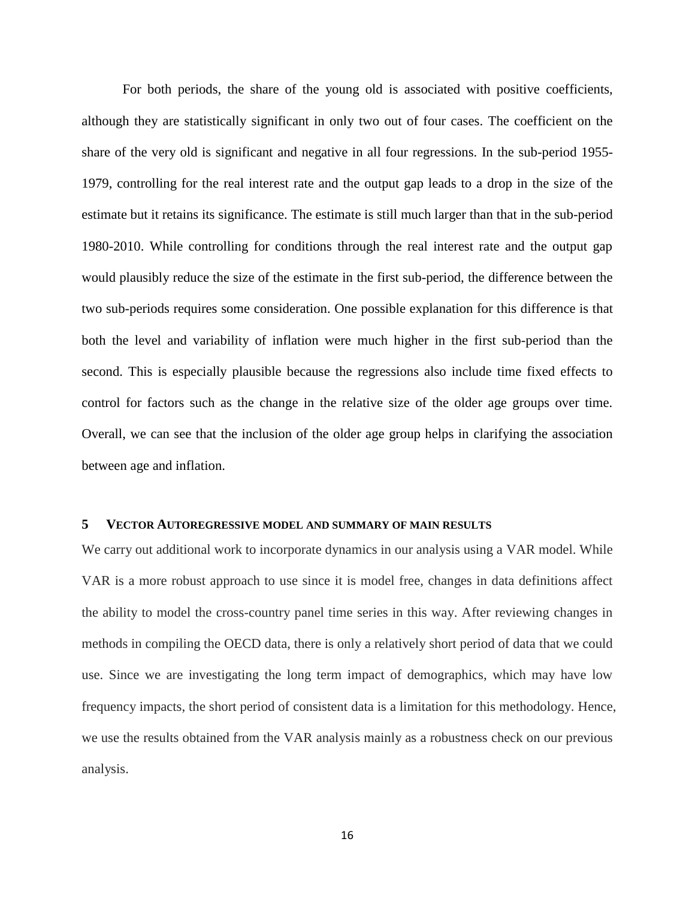For both periods, the share of the young old is associated with positive coefficients, although they are statistically significant in only two out of four cases. The coefficient on the share of the very old is significant and negative in all four regressions. In the sub-period 1955- 1979, controlling for the real interest rate and the output gap leads to a drop in the size of the estimate but it retains its significance. The estimate is still much larger than that in the sub-period 1980-2010. While controlling for conditions through the real interest rate and the output gap would plausibly reduce the size of the estimate in the first sub-period, the difference between the two sub-periods requires some consideration. One possible explanation for this difference is that both the level and variability of inflation were much higher in the first sub-period than the second. This is especially plausible because the regressions also include time fixed effects to control for factors such as the change in the relative size of the older age groups over time. Overall, we can see that the inclusion of the older age group helps in clarifying the association between age and inflation.

#### **5 VECTOR AUTOREGRESSIVE MODEL AND SUMMARY OF MAIN RESULTS**

We carry out additional work to incorporate dynamics in our analysis using a VAR model. While VAR is a more robust approach to use since it is model free, changes in data definitions affect the ability to model the cross-country panel time series in this way. After reviewing changes in methods in compiling the OECD data, there is only a relatively short period of data that we could use. Since we are investigating the long term impact of demographics, which may have low frequency impacts, the short period of consistent data is a limitation for this methodology. Hence, we use the results obtained from the VAR analysis mainly as a robustness check on our previous analysis.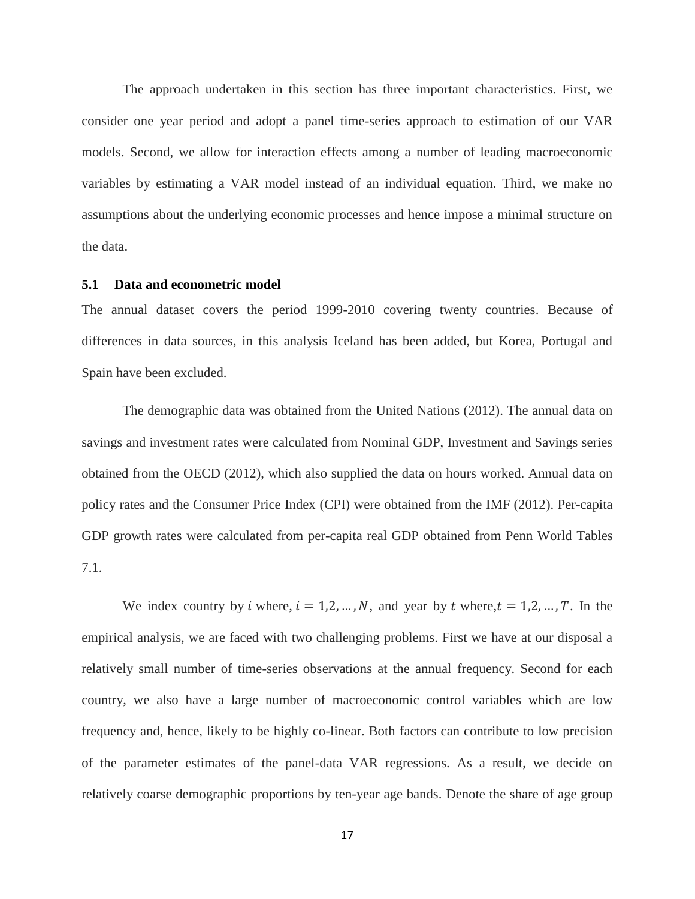The approach undertaken in this section has three important characteristics. First, we consider one year period and adopt a panel time-series approach to estimation of our VAR models. Second, we allow for interaction effects among a number of leading macroeconomic variables by estimating a VAR model instead of an individual equation. Third, we make no assumptions about the underlying economic processes and hence impose a minimal structure on the data.

#### **5.1 Data and econometric model**

The annual dataset covers the period 1999-2010 covering twenty countries. Because of differences in data sources, in this analysis Iceland has been added, but Korea, Portugal and Spain have been excluded.

The demographic data was obtained from the United Nations (2012). The annual data on savings and investment rates were calculated from Nominal GDP, Investment and Savings series obtained from the OECD (2012), which also supplied the data on hours worked. Annual data on policy rates and the Consumer Price Index (CPI) were obtained from the IMF (2012). Per-capita GDP growth rates were calculated from per-capita real GDP obtained from Penn World Tables 7.1.

We index country by *i* where,  $i = 1, 2, ..., N$ , and year by *t* where,  $t = 1, 2, ..., T$ . In the empirical analysis, we are faced with two challenging problems. First we have at our disposal a relatively small number of time-series observations at the annual frequency. Second for each country, we also have a large number of macroeconomic control variables which are low frequency and, hence, likely to be highly co-linear. Both factors can contribute to low precision of the parameter estimates of the panel-data VAR regressions. As a result, we decide on relatively coarse demographic proportions by ten-year age bands. Denote the share of age group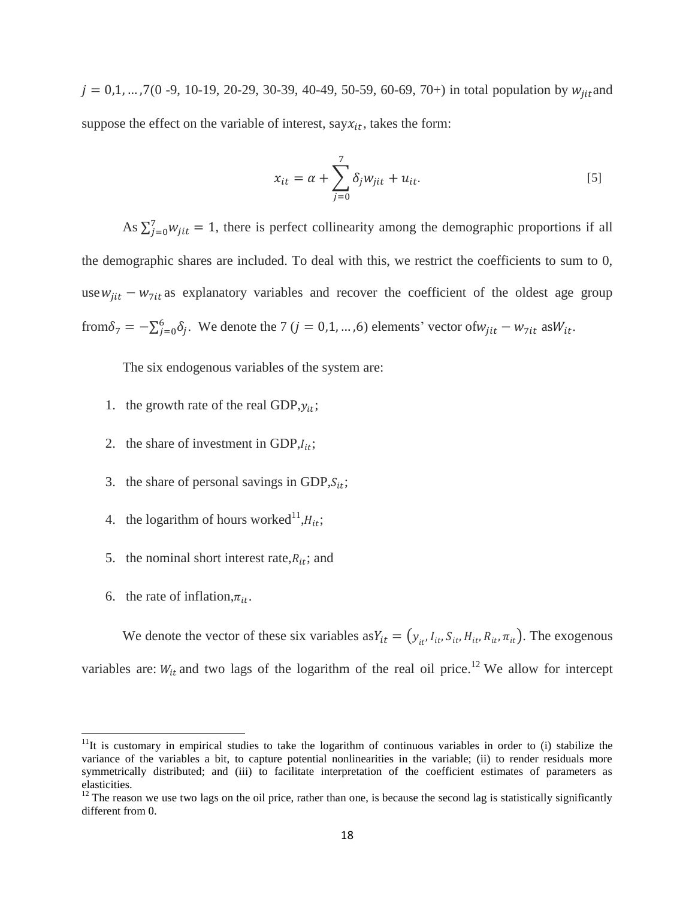$j = 0, 1, ..., 7(0 - 9, 10 - 19, 20 - 29, 30 - 39, 40 - 49, 50 - 59, 60 - 69, 70+)$  in total population by  $w_{jit}$  and suppose the effect on the variable of interest, say $x_{it}$ , takes the form:

$$
x_{it} = \alpha + \sum_{j=0}^{7} \delta_j w_{jit} + u_{it}.
$$

As  $\sum_{j=0}^{7} w_{jit} = 1$ , there is perfect collinearity among the demographic proportions if all the demographic shares are included. To deal with this, we restrict the coefficients to sum to 0, use  $w_{jit} - w_{\text{7it}}$  as explanatory variables and recover the coefficient of the oldest age group from  $\delta_7 = -\sum_{j=0}^6 \delta_j$ . We denote the 7 (j = 0,1, ...,6) elements' vector of  $w_{jit} - w_{7it}$  as  $W_{it}$ .

The six endogenous variables of the system are:

- 1. the growth rate of the real GDP,  $y_{it}$ ;
- 2. the share of investment in GDP, $I_{it}$ ;
- 3. the share of personal savings in GDP,  $S_{it}$ ;
- 4. the logarithm of hours worked<sup>11</sup>, $H_{it}$ ;
- 5. the nominal short interest rate, $R_{it}$ ; and
- 6. the rate of inflation,  $\pi_{it}$ .

 $\overline{a}$ 

We denote the vector of these six variables as  $Y_{it} = (y_{it}, I_{it}, S_{it}, H_{it}, R_{it}, \pi_{it})$ . The exogenous variables are:  $W_{it}$  and two lags of the logarithm of the real oil price.<sup>12</sup> We allow for intercept

 $11$ It is customary in empirical studies to take the logarithm of continuous variables in order to (i) stabilize the variance of the variables a bit, to capture potential nonlinearities in the variable; (ii) to render residuals more symmetrically distributed; and (iii) to facilitate interpretation of the coefficient estimates of parameters as elasticities.

<sup>&</sup>lt;sup>12</sup> The reason we use two lags on the oil price, rather than one, is because the second lag is statistically significantly different from 0.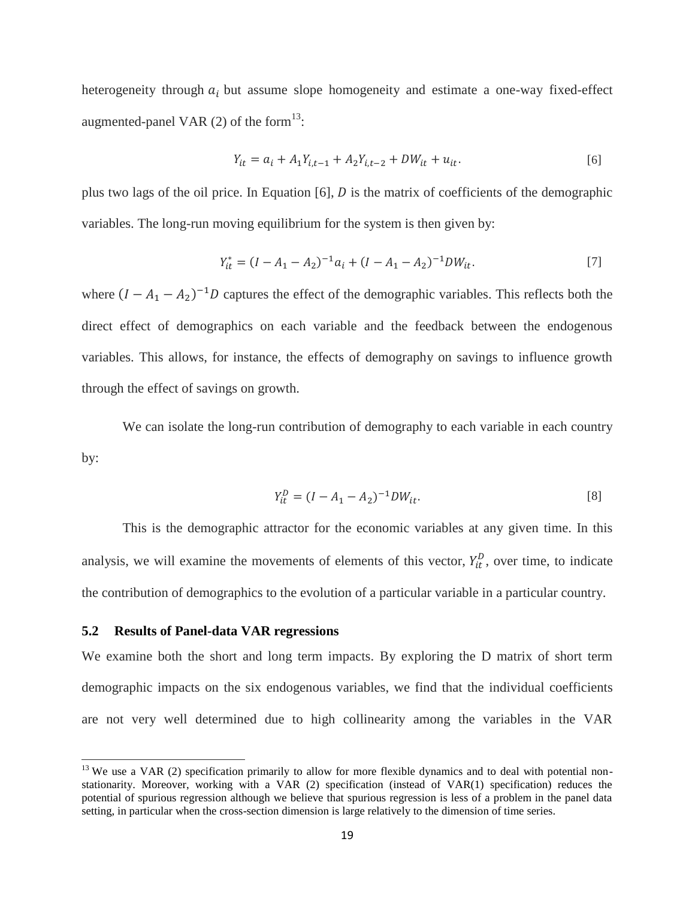heterogeneity through  $a_i$  but assume slope homogeneity and estimate a one-way fixed-effect augmented-panel VAR  $(2)$  of the form<sup>13</sup>:

$$
Y_{it} = a_i + A_1 Y_{i,t-1} + A_2 Y_{i,t-2} + DW_{it} + u_{it}.
$$

plus two lags of the oil price. In Equation  $[6]$ ,  $D$  is the matrix of coefficients of the demographic variables. The long-run moving equilibrium for the system is then given by:

$$
Y_{it}^* = (I - A_1 - A_2)^{-1} a_i + (I - A_1 - A_2)^{-1} D W_{it}.
$$
\n<sup>(7)</sup>

where  $(I - A_1 - A_2)^{-1}D$  captures the effect of the demographic variables. This reflects both the direct effect of demographics on each variable and the feedback between the endogenous variables. This allows, for instance, the effects of demography on savings to influence growth through the effect of savings on growth.

We can isolate the long-run contribution of demography to each variable in each country by:

$$
Y_{it}^D = (I - A_1 - A_2)^{-1} D W_{it}.
$$
\n<sup>(8)</sup>

This is the demographic attractor for the economic variables at any given time. In this analysis, we will examine the movements of elements of this vector,  $Y_{it}^D$ , over time, to indicate the contribution of demographics to the evolution of a particular variable in a particular country.

#### **5.2 Results of Panel-data VAR regressions**

 $\overline{a}$ 

We examine both the short and long term impacts. By exploring the D matrix of short term demographic impacts on the six endogenous variables, we find that the individual coefficients are not very well determined due to high collinearity among the variables in the VAR

 $13$  We use a VAR (2) specification primarily to allow for more flexible dynamics and to deal with potential nonstationarity. Moreover, working with a VAR (2) specification (instead of VAR(1) specification) reduces the potential of spurious regression although we believe that spurious regression is less of a problem in the panel data setting, in particular when the cross-section dimension is large relatively to the dimension of time series.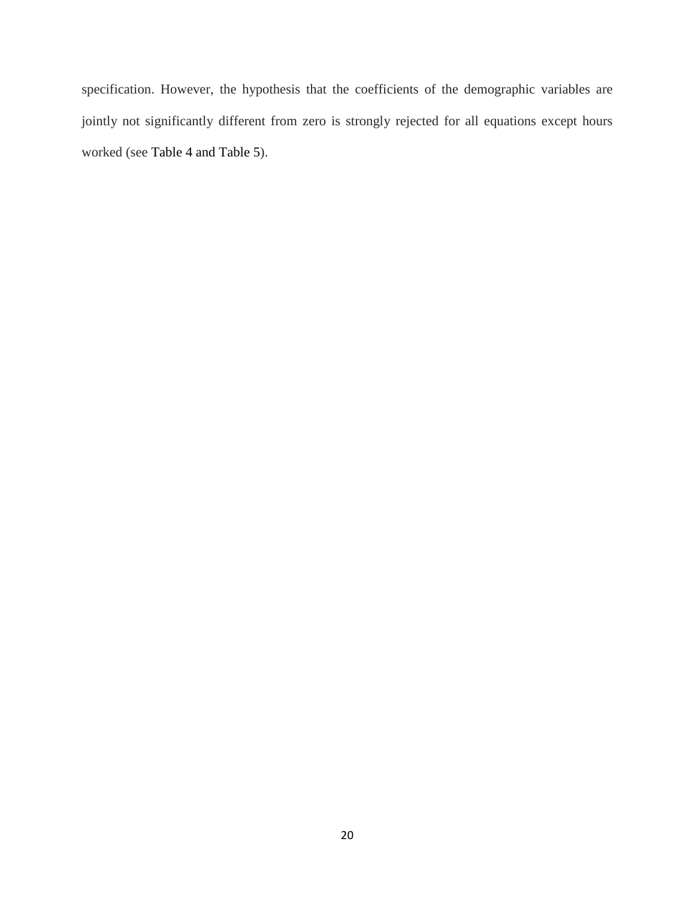specification. However, the hypothesis that the coefficients of the demographic variables are jointly not significantly different from zero is strongly rejected for all equations except hours worked (see Table 4 and Table 5).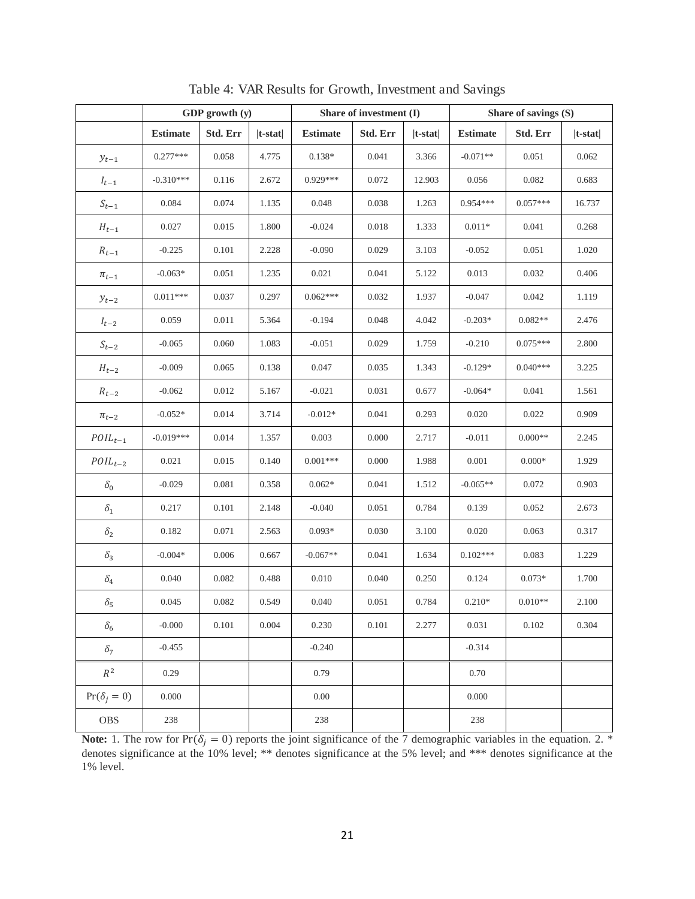|                        | GDP growth (y)  |          |            |                 | Share of investment (I) |            | Share of savings (S) |            |            |
|------------------------|-----------------|----------|------------|-----------------|-------------------------|------------|----------------------|------------|------------|
|                        | <b>Estimate</b> | Std. Err | $ t-stat $ | <b>Estimate</b> | Std. Err                | $ t-stat $ | <b>Estimate</b>      | Std. Err   | $ t-stat $ |
| $\mathcal{Y}_{t-1}$    | $0.277***$      | 0.058    | 4.775      | $0.138*$        | 0.041                   | 3.366      | $-0.071**$           | 0.051      | 0.062      |
| $I_{t-1}$              | $-0.310***$     | 0.116    | 2.672      | $0.929***$      | 0.072                   | 12.903     | 0.056                | 0.082      | 0.683      |
| $\boldsymbol{S}_{t-1}$ | 0.084           | 0.074    | 1.135      | 0.048           | 0.038                   | 1.263      | $0.954***$           | $0.057***$ | 16.737     |
| ${\cal H}_{t-1}$       | 0.027           | 0.015    | 1.800      | $-0.024$        | 0.018                   | 1.333      | $0.011*$             | 0.041      | 0.268      |
| $R_{t-1}$              | $-0.225$        | 0.101    | 2.228      | $-0.090$        | 0.029                   | 3.103      | $-0.052$             | 0.051      | $1.020\,$  |
| $\pi_{t-1}$            | $-0.063*$       | 0.051    | 1.235      | 0.021           | 0.041                   | 5.122      | 0.013                | 0.032      | 0.406      |
| $\mathcal{Y}_{t-2}$    | $0.011***$      | 0.037    | 0.297      | $0.062***$      | 0.032                   | 1.937      | $-0.047$             | 0.042      | 1.119      |
| $I_{t-2}$              | 0.059           | 0.011    | 5.364      | $-0.194$        | 0.048                   | 4.042      | $-0.203*$            | $0.082**$  | 2.476      |
| $S_{t-2}$              | $-0.065$        | 0.060    | 1.083      | $-0.051$        | 0.029                   | 1.759      | $-0.210$             | $0.075***$ | 2.800      |
| ${\cal H}_{t-2}$       | $-0.009$        | 0.065    | 0.138      | 0.047           | 0.035                   | 1.343      | $-0.129*$            | $0.040***$ | 3.225      |
| $\boldsymbol{R}_{t-2}$ | $-0.062$        | 0.012    | 5.167      | $-0.021$        | 0.031                   | 0.677      | $-0.064*$            | 0.041      | 1.561      |
| $\pi_{t-2}$            | $-0.052*$       | 0.014    | 3.714      | $-0.012*$       | 0.041                   | 0.293      | 0.020                | 0.022      | 0.909      |
| $POL_{t-1}$            | $-0.019***$     | 0.014    | 1.357      | 0.003           | 0.000                   | 2.717      | $-0.011$             | $0.000**$  | 2.245      |
| $POL_{t-2}$            | 0.021           | 0.015    | 0.140      | $0.001***$      | 0.000                   | 1.988      | 0.001                | $0.000*$   | 1.929      |
| $\delta_0$             | $-0.029$        | 0.081    | 0.358      | $0.062*$        | 0.041                   | 1.512      | $-0.065**$           | 0.072      | 0.903      |
| $\delta_1$             | 0.217           | 0.101    | 2.148      | $-0.040$        | 0.051                   | 0.784      | 0.139                | 0.052      | 2.673      |
| $\delta_2$             | 0.182           | 0.071    | 2.563      | $0.093*$        | 0.030                   | 3.100      | 0.020                | 0.063      | 0.317      |
| $\delta_3$             | $-0.004*$       | 0.006    | 0.667      | $-0.067**$      | 0.041                   | 1.634      | $0.102***$           | 0.083      | 1.229      |
| $\delta_4$             | 0.040           | 0.082    | 0.488      | 0.010           | 0.040                   | 0.250      | 0.124                | $0.073*$   | 1.700      |
| $\delta_5$             | 0.045           | 0.082    | 0.549      | $0.040\,$       | 0.051                   | 0.784      | $0.210*$             | $0.010**$  | 2.100      |
| $\delta_6$             | $-0.000$        | 0.101    | 0.004      | 0.230           | 0.101                   | 2.277      | 0.031                | 0.102      | 0.304      |
| $\delta_7$             | $-0.455$        |          |            | $-0.240$        |                         |            | $-0.314$             |            |            |
| $\mathbb{R}^2$         | 0.29            |          |            | 0.79            |                         |            | 0.70                 |            |            |
| $Pr(\delta_i = 0)$     | 0.000           |          |            | 0.00            |                         |            | 0.000                |            |            |
| OBS                    | 238             |          |            | 238             |                         |            | 238                  |            |            |

Table 4: VAR Results for Growth, Investment and Savings

**Note:** 1. The row for  $Pr(\delta_j = 0)$  reports the joint significance of the 7 demographic variables in the equation. 2. \* denotes significance at the 10% level; \*\* denotes significance at the 5% level; and \*\*\* denotes significance at the 1% level.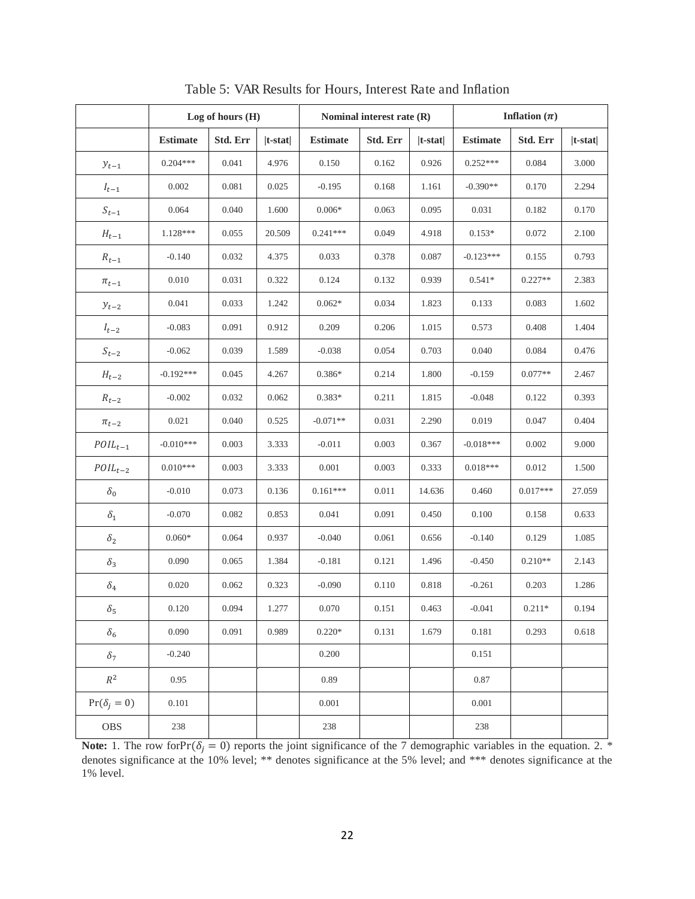|                        | Log of hours $(H)$ |          |            |                 | Nominal interest rate (R) |            | Inflation $(\pi)$ |            |            |
|------------------------|--------------------|----------|------------|-----------------|---------------------------|------------|-------------------|------------|------------|
|                        | <b>Estimate</b>    | Std. Err | $ t-stat $ | <b>Estimate</b> | Std. Err                  | $ t-stat $ | <b>Estimate</b>   | Std. Err   | $ t-stat $ |
| $y_{t-1}$              | $0.204***$         | 0.041    | 4.976      | 0.150           | 0.162                     | 0.926      | $0.252***$        | 0.084      | 3.000      |
| $I_{t-1}$              | 0.002              | 0.081    | 0.025      | $-0.195$        | 0.168                     | 1.161      | $-0.390**$        | 0.170      | 2.294      |
| $\boldsymbol{S}_{t-1}$ | 0.064              | 0.040    | 1.600      | $0.006*$        | 0.063                     | 0.095      | 0.031             | 0.182      | 0.170      |
| ${\cal H}_{t-1}$       | 1.128***           | 0.055    | 20.509     | $0.241***$      | 0.049                     | 4.918      | $0.153*$          | 0.072      | 2.100      |
| $R_{t-1}$              | $-0.140$           | 0.032    | 4.375      | 0.033           | 0.378                     | 0.087      | $-0.123***$       | 0.155      | 0.793      |
| $\pi_{t-1}$            | 0.010              | 0.031    | 0.322      | 0.124           | 0.132                     | 0.939      | $0.541*$          | $0.227**$  | 2.383      |
| $y_{t-2}$              | 0.041              | 0.033    | 1.242      | $0.062*$        | 0.034                     | 1.823      | 0.133             | 0.083      | 1.602      |
| $I_{t-2}$              | $-0.083$           | 0.091    | 0.912      | 0.209           | 0.206                     | 1.015      | 0.573             | 0.408      | 1.404      |
| $S_{t-2}$              | $-0.062$           | 0.039    | 1.589      | $-0.038$        | 0.054                     | 0.703      | 0.040             | 0.084      | 0.476      |
| ${\cal H}_{t-2}$       | $-0.192***$        | 0.045    | 4.267      | $0.386*$        | 0.214                     | 1.800      | $-0.159$          | $0.077**$  | 2.467      |
| $R_{t-2}$              | $-0.002$           | 0.032    | 0.062      | $0.383*$        | 0.211                     | 1.815      | $-0.048$          | 0.122      | 0.393      |
| $\pi_{t-2}$            | 0.021              | 0.040    | 0.525      | $-0.071**$      | 0.031                     | 2.290      | 0.019             | 0.047      | 0.404      |
| $\mathit{POIL}_{t-1}$  | $-0.010***$        | 0.003    | 3.333      | $-0.011$        | 0.003                     | 0.367      | $-0.018***$       | 0.002      | 9.000      |
| $\mathit{POIL}_{t-2}$  | $0.010***$         | 0.003    | 3.333      | 0.001           | 0.003                     | 0.333      | $0.018***$        | 0.012      | 1.500      |
| $\delta_0$             | $-0.010$           | 0.073    | 0.136      | $0.161***$      | 0.011                     | 14.636     | 0.460             | $0.017***$ | 27.059     |
| $\delta_1$             | $-0.070$           | 0.082    | 0.853      | 0.041           | 0.091                     | 0.450      | 0.100             | 0.158      | 0.633      |
| $\delta_2$             | $0.060*$           | 0.064    | 0.937      | $-0.040$        | 0.061                     | 0.656      | $-0.140$          | 0.129      | 1.085      |
| $\delta_3$             | 0.090              | 0.065    | 1.384      | $-0.181$        | 0.121                     | 1.496      | $-0.450$          | $0.210**$  | 2.143      |
| $\delta_4$             | 0.020              | 0.062    | 0.323      | $-0.090$        | 0.110                     | 0.818      | $-0.261$          | 0.203      | 1.286      |
| $\delta_5$             | 0.120              | 0.094    | 1.277      | 0.070           | 0.151                     | 0.463      | $-0.041$          | $0.211*$   | 0.194      |
| $\delta_6$             | 0.090              | 0.091    | 0.989      | $0.220*$        | 0.131                     | 1.679      | 0.181             | 0.293      | 0.618      |
| $\delta_7$             | $-0.240$           |          |            | 0.200           |                           |            | 0.151             |            |            |
| $\mathbb{R}^2$         | 0.95               |          |            | 0.89            |                           |            | 0.87              |            |            |
| $Pr(\delta_i = 0)$     | 0.101              |          |            | 0.001           |                           |            | 0.001             |            |            |
| <b>OBS</b>             | 238                |          |            | 238             |                           |            | 238               |            |            |

Table 5: VAR Results for Hours, Interest Rate and Inflation

**Note:** 1. The row forPr $(\delta_i = 0)$  reports the joint significance of the 7 demographic variables in the equation. 2. \* denotes significance at the 10% level; \*\* denotes significance at the 5% level; and \*\*\* denotes significance at the 1% level.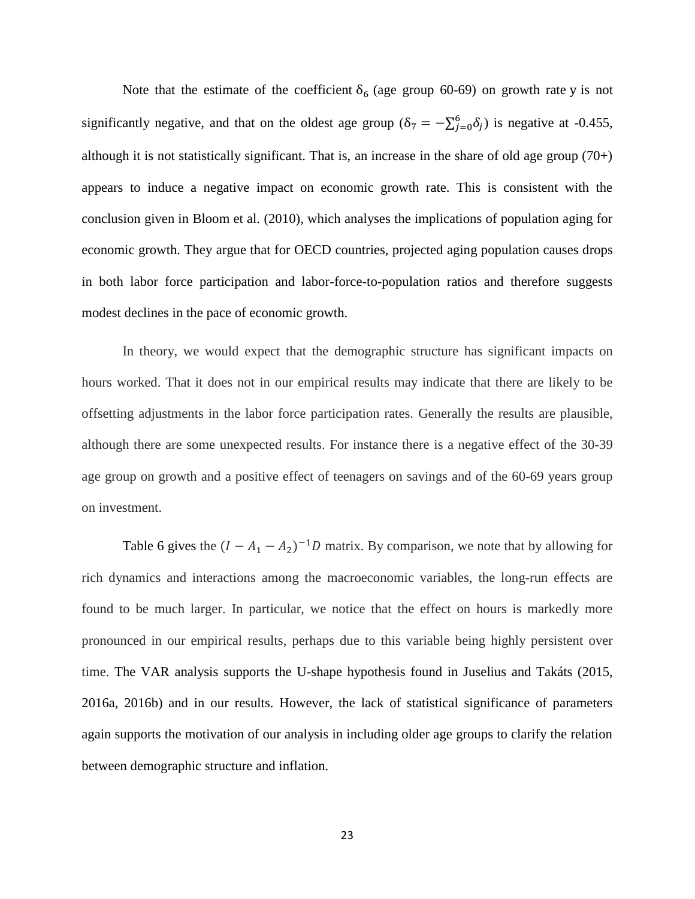Note that the estimate of the coefficient  $\delta_6$  (age group 60-69) on growth rate y is not significantly negative, and that on the oldest age group  $(\delta_7 = -\sum_{j=0}^{6} \delta_j)$  is negative at -0.455, although it is not statistically significant. That is, an increase in the share of old age group (70+) appears to induce a negative impact on economic growth rate. This is consistent with the conclusion given in Bloom et al. (2010), which analyses the implications of population aging for economic growth. They argue that for OECD countries, projected aging population causes drops in both labor force participation and labor-force-to-population ratios and therefore suggests modest declines in the pace of economic growth.

In theory, we would expect that the demographic structure has significant impacts on hours worked. That it does not in our empirical results may indicate that there are likely to be offsetting adjustments in the labor force participation rates. Generally the results are plausible, although there are some unexpected results. For instance there is a negative effect of the 30-39 age group on growth and a positive effect of teenagers on savings and of the 60-69 years group on investment.

Table 6 gives the  $(I - A_1 - A_2)^{-1}D$  matrix. By comparison, we note that by allowing for rich dynamics and interactions among the macroeconomic variables, the long-run effects are found to be much larger. In particular, we notice that the effect on hours is markedly more pronounced in our empirical results, perhaps due to this variable being highly persistent over time. The VAR analysis supports the U-shape hypothesis found in Juselius and Takáts (2015, 2016a, 2016b) and in our results. However, the lack of statistical significance of parameters again supports the motivation of our analysis in including older age groups to clarify the relation between demographic structure and inflation.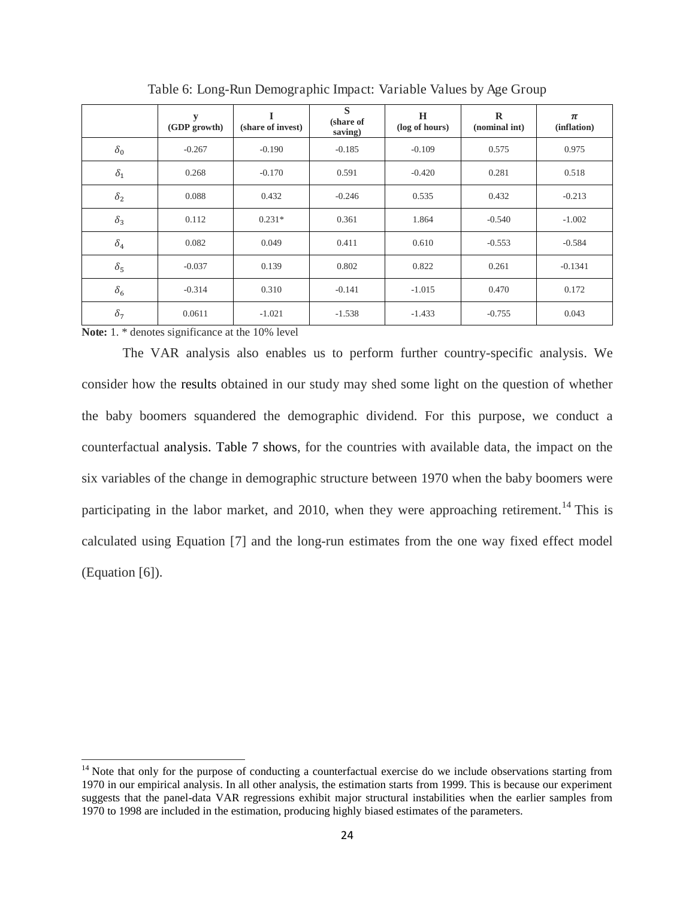|            | y<br>(GDP growth) | (share of invest) | S<br>(share of<br>saving) | H<br>(log of hours) | $\bf{R}$<br>(nominal int) | $\pi$<br>(inflation) |
|------------|-------------------|-------------------|---------------------------|---------------------|---------------------------|----------------------|
| $\delta_0$ | $-0.267$          | $-0.190$          | $-0.185$                  | $-0.109$            | 0.575                     | 0.975                |
| $\delta_1$ | 0.268             | $-0.170$          | 0.591                     | $-0.420$            | 0.281                     | 0.518                |
| $\delta_2$ | 0.088             | 0.432             | $-0.246$                  | 0.535               | 0.432                     | $-0.213$             |
| $\delta_3$ | 0.112             | $0.231*$          | 0.361                     | 1.864               | $-0.540$                  | $-1.002$             |
| $\delta_4$ | 0.082             | 0.049             | 0.411                     | 0.610               | $-0.553$                  | $-0.584$             |
| $\delta_5$ | $-0.037$          | 0.139             | 0.802                     | 0.822               | 0.261                     | $-0.1341$            |
| $\delta_6$ | $-0.314$          | 0.310             | $-0.141$                  | $-1.015$            | 0.470                     | 0.172                |
| $\delta_7$ | 0.0611            | $-1.021$          | $-1.538$                  | $-1.433$            | $-0.755$                  | 0.043                |

Table 6: Long-Run Demographic Impact: Variable Values by Age Group

**Note:** 1. \* denotes significance at the 10% level

 $\overline{a}$ 

The VAR analysis also enables us to perform further country-specific analysis. We consider how the results obtained in our study may shed some light on the question of whether the baby boomers squandered the demographic dividend. For this purpose, we conduct a counterfactual analysis. Table 7 shows, for the countries with available data, the impact on the six variables of the change in demographic structure between 1970 when the baby boomers were participating in the labor market, and 2010, when they were approaching retirement.<sup>14</sup> This is calculated using Equation [7] and the long-run estimates from the one way fixed effect model (Equation [6]).

<sup>&</sup>lt;sup>14</sup> Note that only for the purpose of conducting a counterfactual exercise do we include observations starting from 1970 in our empirical analysis. In all other analysis, the estimation starts from 1999. This is because our experiment suggests that the panel-data VAR regressions exhibit major structural instabilities when the earlier samples from 1970 to 1998 are included in the estimation, producing highly biased estimates of the parameters.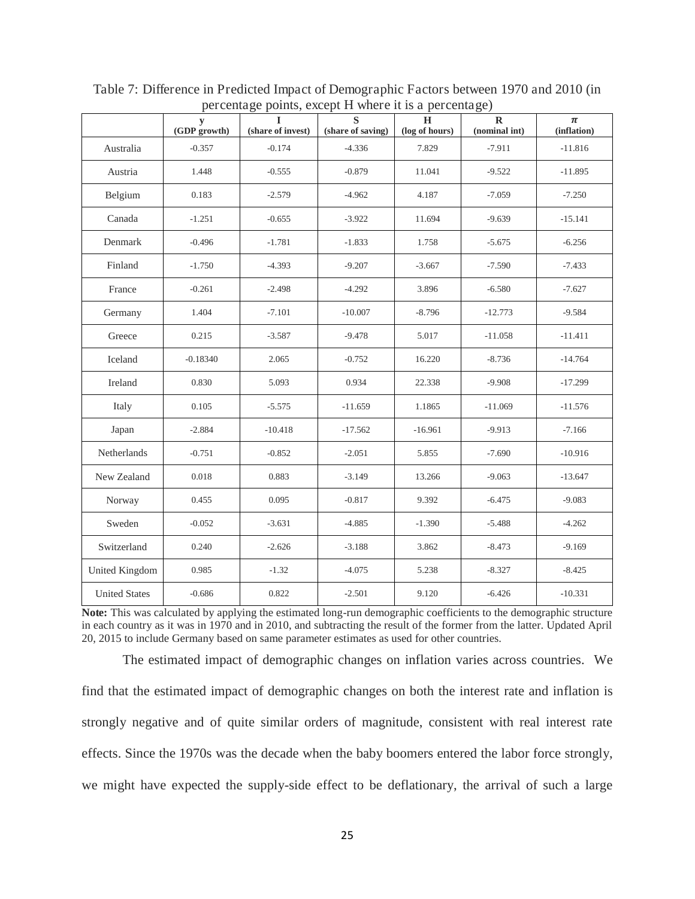|                      | $\mathbf y$<br>(GDP growth) | T<br>(share of invest) | $\overline{\mathbf{s}}$<br>(share of saving) | $\overline{\mathbf{H}}$<br>(log of hours) | $\mathbf R$<br>(nominal int) | $\pmb{\pi}$<br>(inflation) |
|----------------------|-----------------------------|------------------------|----------------------------------------------|-------------------------------------------|------------------------------|----------------------------|
| Australia            | $-0.357$                    | $-0.174$               | $-4.336$                                     | 7.829                                     | $-7.911$                     | $-11.816$                  |
| Austria              | 1.448                       | $-0.555$               | $-0.879$                                     | 11.041                                    | $-9.522$                     | $-11.895$                  |
| Belgium              | 0.183                       | $-2.579$               | $-4.962$                                     | 4.187                                     | $-7.059$                     | $-7.250$                   |
| Canada               | $-1.251$                    | $-0.655$               | $-3.922$                                     | 11.694                                    | $-9.639$                     | $-15.141$                  |
| Denmark              | $-0.496$                    | $-1.781$               | $-1.833$                                     | 1.758                                     | $-5.675$                     | $-6.256$                   |
| Finland              | $-1.750$                    | $-4.393$               | $-9.207$                                     | $-3.667$                                  | $-7.590$                     | $-7.433$                   |
| France               | $-0.261$                    | $-2.498$               | $-4.292$                                     | 3.896                                     | $-6.580$                     | $-7.627$                   |
| Germany              | 1.404                       | $-7.101$               | $-10.007$                                    | $-8.796$                                  | $-12.773$                    | $-9.584$                   |
| Greece               | 0.215                       | $-3.587$               | $-9.478$                                     | 5.017                                     | $-11.058$                    | $-11.411$                  |
| Iceland              | $-0.18340$                  | 2.065                  | $-0.752$                                     | 16.220                                    | $-8.736$                     | $-14.764$                  |
| Ireland              | 0.830                       | 5.093                  | 0.934                                        | 22.338                                    | $-9.908$                     | $-17.299$                  |
| Italy                | 0.105                       | $-5.575$               | $-11.659$                                    | 1.1865                                    | $-11.069$                    | $-11.576$                  |
| Japan                | $-2.884$                    | $-10.418$              | $-17.562$                                    | $-16.961$                                 | $-9.913$                     | $-7.166$                   |
| Netherlands          | $-0.751$                    | $-0.852$               | $-2.051$                                     | 5.855                                     | $-7.690$                     | $-10.916$                  |
| New Zealand          | 0.018                       | 0.883                  | $-3.149$                                     | 13.266                                    | $-9.063$                     | $-13.647$                  |
| Norway               | 0.455                       | 0.095                  | $-0.817$                                     | 9.392                                     | $-6.475$                     | $-9.083$                   |
| Sweden               | $-0.052$                    | $-3.631$               | $-4.885$                                     | $-1.390$                                  | $-5.488$                     | $-4.262$                   |
| Switzerland          | 0.240                       | $-2.626$               | $-3.188$                                     | 3.862                                     | $-8.473$                     | $-9.169$                   |
| United Kingdom       | 0.985                       | $-1.32$                | $-4.075$                                     | 5.238                                     | $-8.327$                     | $-8.425$                   |
| <b>United States</b> | $-0.686$                    | 0.822                  | $-2.501$                                     | 9.120                                     | $-6.426$                     | $-10.331$                  |

Table 7: Difference in Predicted Impact of Demographic Factors between 1970 and 2010 (in percentage points, except H where it is a percentage)

**Note:** This was calculated by applying the estimated long-run demographic coefficients to the demographic structure in each country as it was in 1970 and in 2010, and subtracting the result of the former from the latter. Updated April 20, 2015 to include Germany based on same parameter estimates as used for other countries.

The estimated impact of demographic changes on inflation varies across countries. We find that the estimated impact of demographic changes on both the interest rate and inflation is strongly negative and of quite similar orders of magnitude, consistent with real interest rate effects. Since the 1970s was the decade when the baby boomers entered the labor force strongly, we might have expected the supply-side effect to be deflationary, the arrival of such a large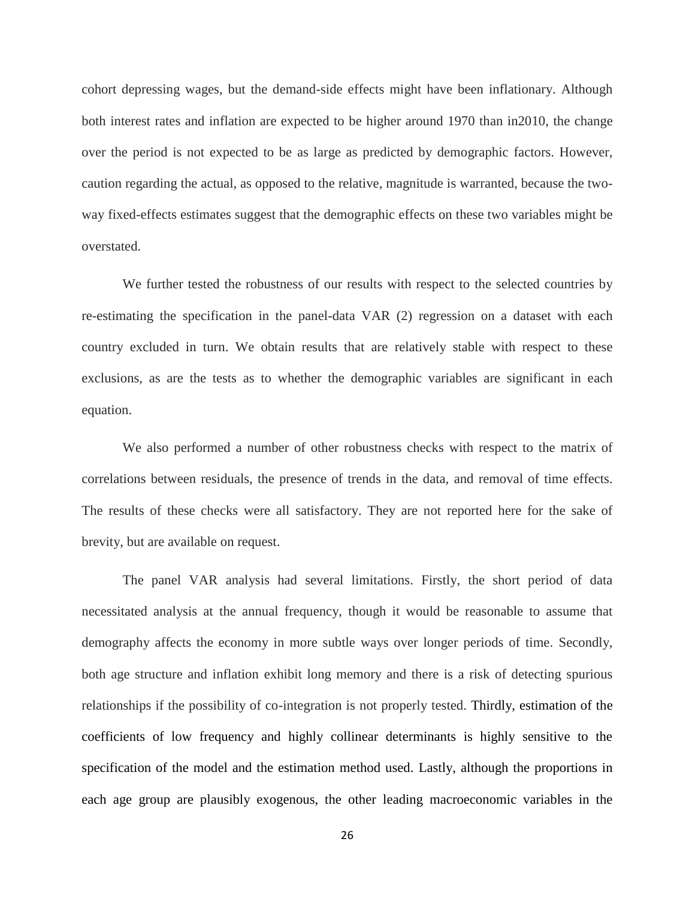cohort depressing wages, but the demand-side effects might have been inflationary. Although both interest rates and inflation are expected to be higher around 1970 than in2010, the change over the period is not expected to be as large as predicted by demographic factors. However, caution regarding the actual, as opposed to the relative, magnitude is warranted, because the twoway fixed-effects estimates suggest that the demographic effects on these two variables might be overstated.

We further tested the robustness of our results with respect to the selected countries by re-estimating the specification in the panel-data VAR (2) regression on a dataset with each country excluded in turn. We obtain results that are relatively stable with respect to these exclusions, as are the tests as to whether the demographic variables are significant in each equation.

We also performed a number of other robustness checks with respect to the matrix of correlations between residuals, the presence of trends in the data, and removal of time effects. The results of these checks were all satisfactory. They are not reported here for the sake of brevity, but are available on request.

The panel VAR analysis had several limitations. Firstly, the short period of data necessitated analysis at the annual frequency, though it would be reasonable to assume that demography affects the economy in more subtle ways over longer periods of time. Secondly, both age structure and inflation exhibit long memory and there is a risk of detecting spurious relationships if the possibility of co-integration is not properly tested. Thirdly, estimation of the coefficients of low frequency and highly collinear determinants is highly sensitive to the specification of the model and the estimation method used. Lastly, although the proportions in each age group are plausibly exogenous, the other leading macroeconomic variables in the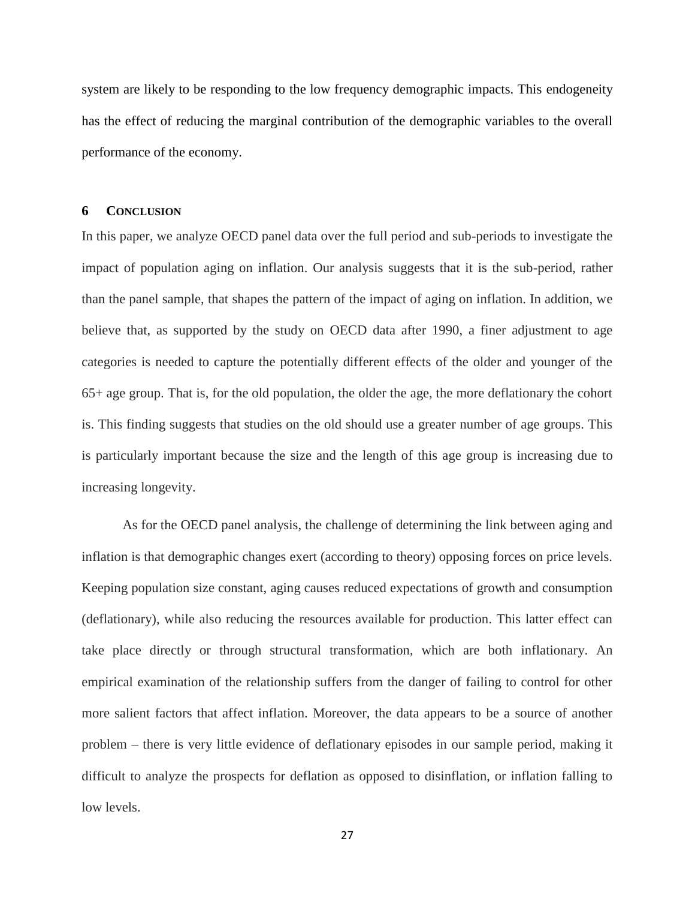system are likely to be responding to the low frequency demographic impacts. This endogeneity has the effect of reducing the marginal contribution of the demographic variables to the overall performance of the economy.

#### **6 CONCLUSION**

In this paper, we analyze OECD panel data over the full period and sub-periods to investigate the impact of population aging on inflation. Our analysis suggests that it is the sub-period, rather than the panel sample, that shapes the pattern of the impact of aging on inflation. In addition, we believe that, as supported by the study on OECD data after 1990, a finer adjustment to age categories is needed to capture the potentially different effects of the older and younger of the 65+ age group. That is, for the old population, the older the age, the more deflationary the cohort is. This finding suggests that studies on the old should use a greater number of age groups. This is particularly important because the size and the length of this age group is increasing due to increasing longevity.

As for the OECD panel analysis, the challenge of determining the link between aging and inflation is that demographic changes exert (according to theory) opposing forces on price levels. Keeping population size constant, aging causes reduced expectations of growth and consumption (deflationary), while also reducing the resources available for production. This latter effect can take place directly or through structural transformation, which are both inflationary. An empirical examination of the relationship suffers from the danger of failing to control for other more salient factors that affect inflation. Moreover, the data appears to be a source of another problem – there is very little evidence of deflationary episodes in our sample period, making it difficult to analyze the prospects for deflation as opposed to disinflation, or inflation falling to low levels.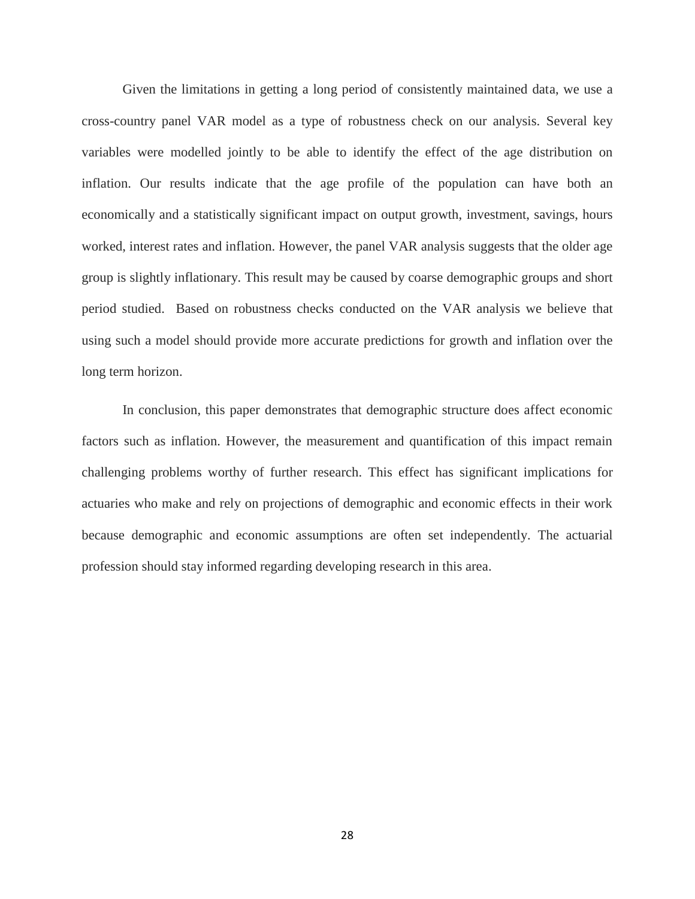Given the limitations in getting a long period of consistently maintained data, we use a cross-country panel VAR model as a type of robustness check on our analysis. Several key variables were modelled jointly to be able to identify the effect of the age distribution on inflation. Our results indicate that the age profile of the population can have both an economically and a statistically significant impact on output growth, investment, savings, hours worked, interest rates and inflation. However, the panel VAR analysis suggests that the older age group is slightly inflationary. This result may be caused by coarse demographic groups and short period studied. Based on robustness checks conducted on the VAR analysis we believe that using such a model should provide more accurate predictions for growth and inflation over the long term horizon.

In conclusion, this paper demonstrates that demographic structure does affect economic factors such as inflation. However, the measurement and quantification of this impact remain challenging problems worthy of further research. This effect has significant implications for actuaries who make and rely on projections of demographic and economic effects in their work because demographic and economic assumptions are often set independently. The actuarial profession should stay informed regarding developing research in this area.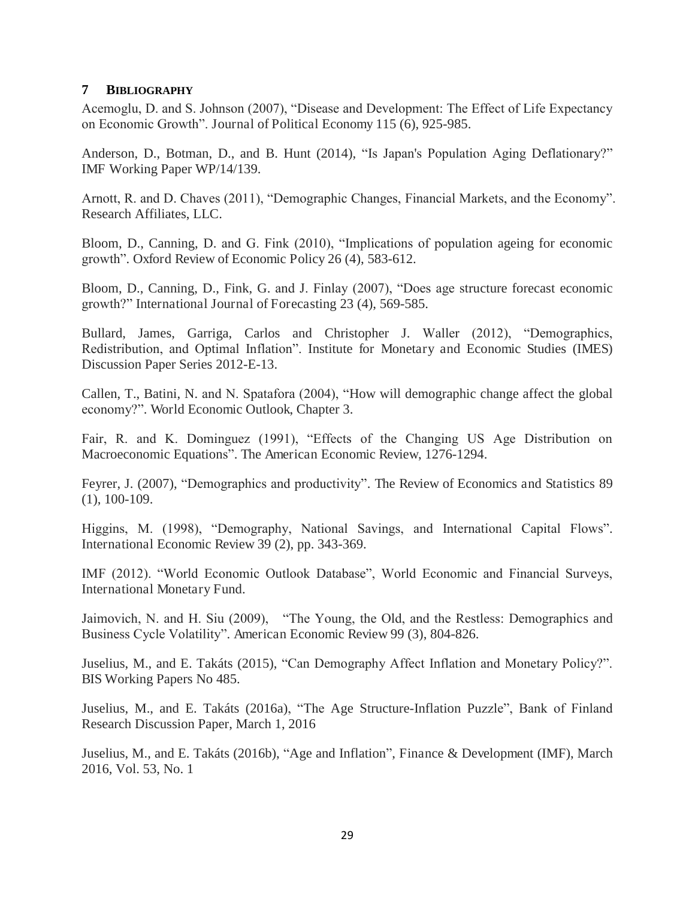#### **7 BIBLIOGRAPHY**

Acemoglu, D. and S. Johnson (2007), "Disease and Development: The Effect of Life Expectancy on Economic Growth". Journal of Political Economy 115 (6), 925-985.

Anderson, D., Botman, D., and B. Hunt (2014), "Is Japan's Population Aging Deflationary?" IMF Working Paper WP/14/139.

Arnott, R. and D. Chaves (2011), "Demographic Changes, Financial Markets, and the Economy". Research Affiliates, LLC.

Bloom, D., Canning, D. and G. Fink (2010), "Implications of population ageing for economic growth". Oxford Review of Economic Policy 26 (4), 583-612.

Bloom, D., Canning, D., Fink, G. and J. Finlay (2007), "Does age structure forecast economic growth?" International Journal of Forecasting 23 (4), 569-585.

Bullard, James, Garriga, Carlos and Christopher J. Waller (2012), "Demographics, Redistribution, and Optimal Inflation". Institute for Monetary and Economic Studies (IMES) Discussion Paper Series 2012-E-13.

Callen, T., Batini, N. and N. Spatafora (2004), "How will demographic change affect the global economy?". World Economic Outlook, Chapter 3.

Fair, R. and K. Dominguez (1991), "Effects of the Changing US Age Distribution on Macroeconomic Equations". The American Economic Review, 1276-1294.

Feyrer, J. (2007), "Demographics and productivity". The Review of Economics and Statistics 89 (1), 100-109.

Higgins, M. (1998), "Demography, National Savings, and International Capital Flows". International Economic Review 39 (2), pp. 343-369.

IMF (2012). "World Economic Outlook Database", World Economic and Financial Surveys, International Monetary Fund.

Jaimovich, N. and H. Siu (2009), "The Young, the Old, and the Restless: Demographics and Business Cycle Volatility". American Economic Review 99 (3), 804-826.

Juselius, M., and E. Takáts (2015), "Can Demography Affect Inflation and Monetary Policy?". BIS Working Papers No 485.

Juselius, M., and E. Takáts (2016a), "The Age Structure-Inflation Puzzle", Bank of Finland Research Discussion Paper, March 1, 2016

Juselius, M., and E. Takáts (2016b), "Age and Inflation", Finance & Development (IMF), March 2016, Vol. 53, No. 1